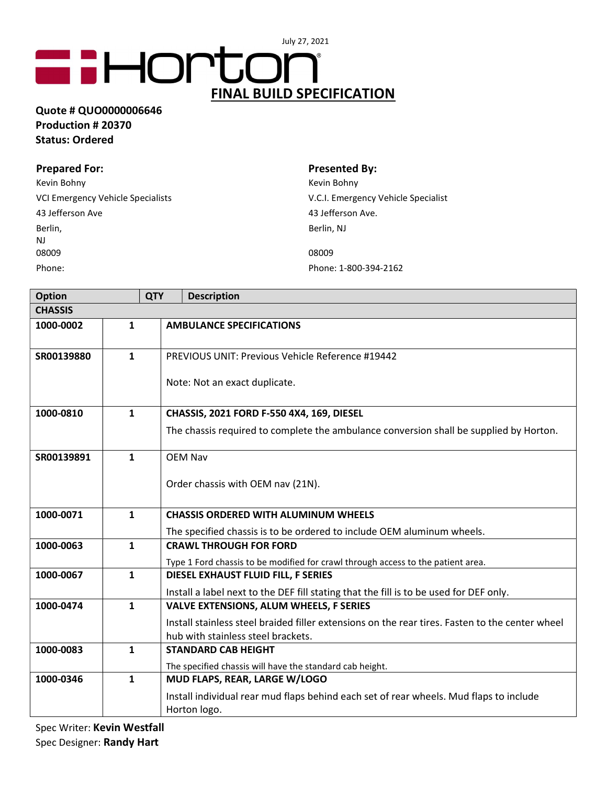## **GHORTON**® FINAL BUILD SPECIFICATION

## Quote # QUO0000006646 Production # 20370 Status: Ordered

| <b>Prepared For:</b>              | <b>Presented By:</b>                |
|-----------------------------------|-------------------------------------|
| Kevin Bohny                       | Kevin Bohny                         |
| VCI Emergency Vehicle Specialists | V.C.I. Emergency Vehicle Specialist |
| 43 Jefferson Ave                  | 43 Jefferson Ave.                   |
| Berlin,                           | Berlin, NJ                          |
| NJ                                |                                     |
| 08009                             | 08009                               |
| Phone:                            | Phone: 1-800-394-2162               |

| <b>Option</b>  |              | <b>QTY</b> | <b>Description</b>                                                                              |  |
|----------------|--------------|------------|-------------------------------------------------------------------------------------------------|--|
| <b>CHASSIS</b> |              |            |                                                                                                 |  |
| 1000-0002      | $\mathbf{1}$ |            | <b>AMBULANCE SPECIFICATIONS</b>                                                                 |  |
| SR00139880     | $\mathbf{1}$ |            | <b>PREVIOUS UNIT: Previous Vehicle Reference #19442</b>                                         |  |
|                |              |            | Note: Not an exact duplicate.                                                                   |  |
| 1000-0810      | 1            |            | CHASSIS, 2021 FORD F-550 4X4, 169, DIESEL                                                       |  |
|                |              |            | The chassis required to complete the ambulance conversion shall be supplied by Horton.          |  |
| SR00139891     | $\mathbf{1}$ |            | <b>OEM Nav</b>                                                                                  |  |
|                |              |            | Order chassis with OEM nav (21N).                                                               |  |
| 1000-0071      | $\mathbf{1}$ |            | <b>CHASSIS ORDERED WITH ALUMINUM WHEELS</b>                                                     |  |
|                |              |            | The specified chassis is to be ordered to include OEM aluminum wheels.                          |  |
| 1000-0063      | $\mathbf{1}$ |            | <b>CRAWL THROUGH FOR FORD</b>                                                                   |  |
|                |              |            | Type 1 Ford chassis to be modified for crawl through access to the patient area.                |  |
| 1000-0067      | $\mathbf{1}$ |            | DIESEL EXHAUST FLUID FILL, F SERIES                                                             |  |
|                |              |            | Install a label next to the DEF fill stating that the fill is to be used for DEF only.          |  |
| 1000-0474      | $\mathbf{1}$ |            | <b>VALVE EXTENSIONS, ALUM WHEELS, F SERIES</b>                                                  |  |
|                |              |            | Install stainless steel braided filler extensions on the rear tires. Fasten to the center wheel |  |
|                |              |            | hub with stainless steel brackets.                                                              |  |
| 1000-0083      | $\mathbf{1}$ |            | <b>STANDARD CAB HEIGHT</b>                                                                      |  |
|                |              |            | The specified chassis will have the standard cab height.                                        |  |
| 1000-0346      | $\mathbf{1}$ |            | MUD FLAPS, REAR, LARGE W/LOGO                                                                   |  |
|                |              |            | Install individual rear mud flaps behind each set of rear wheels. Mud flaps to include          |  |
|                |              |            | Horton logo.                                                                                    |  |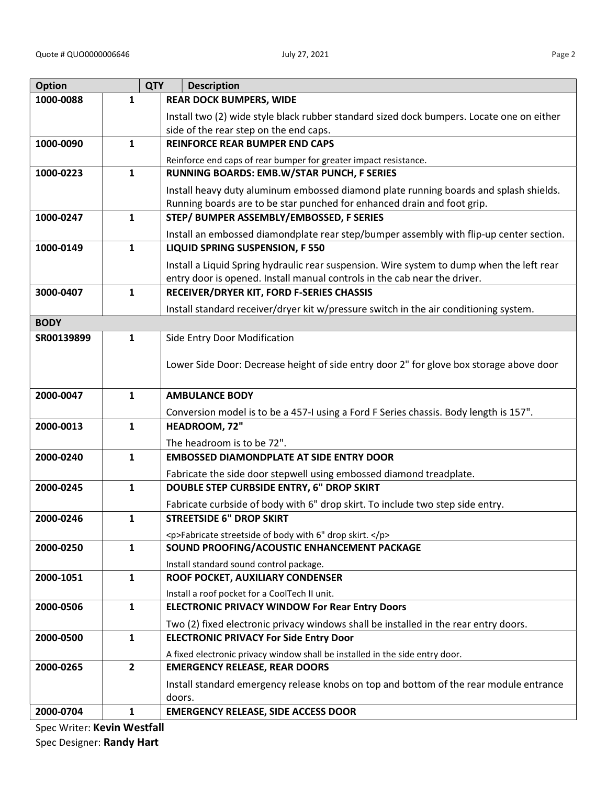| <b>Option</b> |                | <b>QTY</b> | <b>Description</b>                                                                        |
|---------------|----------------|------------|-------------------------------------------------------------------------------------------|
| 1000-0088     | 1              |            | <b>REAR DOCK BUMPERS, WIDE</b>                                                            |
|               |                |            | Install two (2) wide style black rubber standard sized dock bumpers. Locate one on either |
|               |                |            | side of the rear step on the end caps.                                                    |
| 1000-0090     | $\mathbf{1}$   |            | <b>REINFORCE REAR BUMPER END CAPS</b>                                                     |
|               |                |            | Reinforce end caps of rear bumper for greater impact resistance.                          |
| 1000-0223     | $\mathbf{1}$   |            | RUNNING BOARDS: EMB.W/STAR PUNCH, F SERIES                                                |
|               |                |            | Install heavy duty aluminum embossed diamond plate running boards and splash shields.     |
|               |                |            | Running boards are to be star punched for enhanced drain and foot grip.                   |
| 1000-0247     | $\mathbf{1}$   |            | STEP/ BUMPER ASSEMBLY/EMBOSSED, F SERIES                                                  |
|               |                |            | Install an embossed diamondplate rear step/bumper assembly with flip-up center section.   |
| 1000-0149     | $\mathbf{1}$   |            | LIQUID SPRING SUSPENSION, F 550                                                           |
|               |                |            | Install a Liquid Spring hydraulic rear suspension. Wire system to dump when the left rear |
|               |                |            | entry door is opened. Install manual controls in the cab near the driver.                 |
| 3000-0407     | $\mathbf{1}$   |            | RECEIVER/DRYER KIT, FORD F-SERIES CHASSIS                                                 |
| <b>BODY</b>   |                |            | Install standard receiver/dryer kit w/pressure switch in the air conditioning system.     |
|               |                |            |                                                                                           |
| SR00139899    | $\mathbf{1}$   |            | Side Entry Door Modification                                                              |
|               |                |            | Lower Side Door: Decrease height of side entry door 2" for glove box storage above door   |
|               |                |            |                                                                                           |
| 2000-0047     | $\mathbf{1}$   |            | <b>AMBULANCE BODY</b>                                                                     |
|               |                |            | Conversion model is to be a 457-I using a Ford F Series chassis. Body length is 157".     |
| 2000-0013     | $\mathbf{1}$   |            | HEADROOM, 72"                                                                             |
|               |                |            | The headroom is to be 72".                                                                |
| 2000-0240     | $\mathbf{1}$   |            | <b>EMBOSSED DIAMONDPLATE AT SIDE ENTRY DOOR</b>                                           |
|               |                |            | Fabricate the side door stepwell using embossed diamond treadplate.                       |
| 2000-0245     | $\mathbf{1}$   |            | <b>DOUBLE STEP CURBSIDE ENTRY, 6" DROP SKIRT</b>                                          |
|               |                |            | Fabricate curbside of body with 6" drop skirt. To include two step side entry.            |
| 2000-0246     | $\mathbf{1}$   |            | <b>STREETSIDE 6" DROP SKIRT</b>                                                           |
|               |                |            | <p>Fabricate streetside of body with 6" drop skirt. </p>                                  |
| 2000-0250     | $\mathbf{1}$   |            | SOUND PROOFING/ACOUSTIC ENHANCEMENT PACKAGE                                               |
|               |                |            | Install standard sound control package.                                                   |
| 2000-1051     | $\mathbf{1}$   |            | ROOF POCKET, AUXILIARY CONDENSER                                                          |
|               |                |            | Install a roof pocket for a CoolTech II unit.                                             |
| 2000-0506     | $\mathbf{1}$   |            | <b>ELECTRONIC PRIVACY WINDOW For Rear Entry Doors</b>                                     |
|               |                |            | Two (2) fixed electronic privacy windows shall be installed in the rear entry doors.      |
| 2000-0500     | $\mathbf{1}$   |            | <b>ELECTRONIC PRIVACY For Side Entry Door</b>                                             |
|               |                |            | A fixed electronic privacy window shall be installed in the side entry door.              |
| 2000-0265     | $\overline{2}$ |            | <b>EMERGENCY RELEASE, REAR DOORS</b>                                                      |
|               |                |            | Install standard emergency release knobs on top and bottom of the rear module entrance    |
|               |                |            | doors.                                                                                    |
| 2000-0704     | $\mathbf{1}$   |            | <b>EMERGENCY RELEASE, SIDE ACCESS DOOR</b>                                                |

ī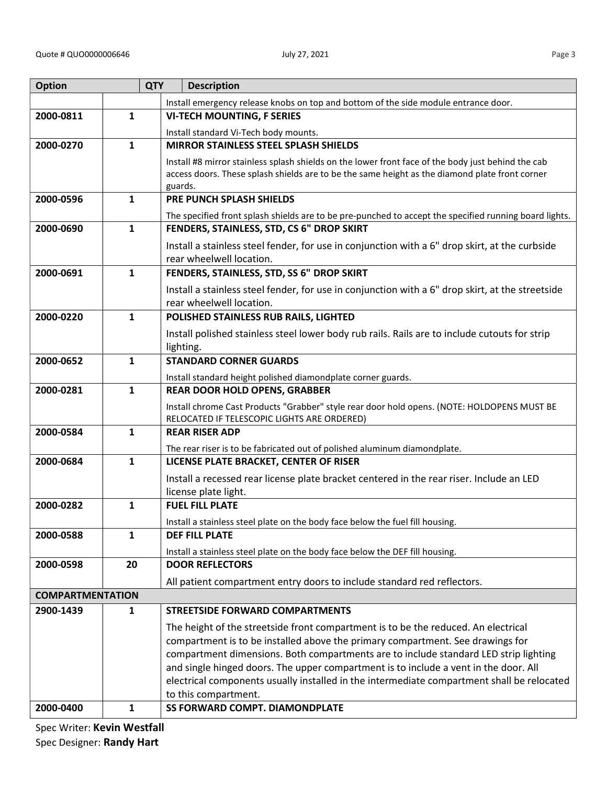|   | ٧ |
|---|---|
| I | ٠ |
|   |   |

| <b>Option</b>           |              | <b>QTY</b><br><b>Description</b>                                                                           |
|-------------------------|--------------|------------------------------------------------------------------------------------------------------------|
|                         |              | Install emergency release knobs on top and bottom of the side module entrance door.                        |
| 2000-0811               | $\mathbf{1}$ | <b>VI-TECH MOUNTING, F SERIES</b>                                                                          |
|                         |              | Install standard Vi-Tech body mounts.                                                                      |
| 2000-0270               | $\mathbf{1}$ | <b>MIRROR STAINLESS STEEL SPLASH SHIELDS</b>                                                               |
|                         |              | Install #8 mirror stainless splash shields on the lower front face of the body just behind the cab         |
|                         |              | access doors. These splash shields are to be the same height as the diamond plate front corner             |
|                         |              | guards.                                                                                                    |
| 2000-0596               | 1            | PRE PUNCH SPLASH SHIELDS                                                                                   |
|                         |              | The specified front splash shields are to be pre-punched to accept the specified running board lights.     |
| 2000-0690               | $\mathbf{1}$ | FENDERS, STAINLESS, STD, CS 6" DROP SKIRT                                                                  |
|                         |              | Install a stainless steel fender, for use in conjunction with a 6" drop skirt, at the curbside             |
| 2000-0691               | $\mathbf{1}$ | rear wheelwell location.                                                                                   |
|                         |              | FENDERS, STAINLESS, STD, SS 6" DROP SKIRT                                                                  |
|                         |              | Install a stainless steel fender, for use in conjunction with a 6" drop skirt, at the streetside           |
| 2000-0220               | $\mathbf{1}$ | rear wheelwell location.<br>POLISHED STAINLESS RUB RAILS, LIGHTED                                          |
|                         |              |                                                                                                            |
|                         |              | Install polished stainless steel lower body rub rails. Rails are to include cutouts for strip<br>lighting. |
| 2000-0652               | $\mathbf{1}$ | <b>STANDARD CORNER GUARDS</b>                                                                              |
|                         |              |                                                                                                            |
| 2000-0281               | $\mathbf{1}$ | Install standard height polished diamondplate corner guards.<br><b>REAR DOOR HOLD OPENS, GRABBER</b>       |
|                         |              | Install chrome Cast Products "Grabber" style rear door hold opens. (NOTE: HOLDOPENS MUST BE                |
|                         |              | RELOCATED IF TELESCOPIC LIGHTS ARE ORDERED)                                                                |
| 2000-0584               | $\mathbf{1}$ | <b>REAR RISER ADP</b>                                                                                      |
|                         |              | The rear riser is to be fabricated out of polished aluminum diamondplate.                                  |
| 2000-0684               | $\mathbf{1}$ | LICENSE PLATE BRACKET, CENTER OF RISER                                                                     |
|                         |              | Install a recessed rear license plate bracket centered in the rear riser. Include an LED                   |
|                         |              | license plate light.                                                                                       |
| 2000-0282               | 1            | <b>FUEL FILL PLATE</b>                                                                                     |
|                         |              | Install a stainless steel plate on the body face below the fuel fill housing.                              |
| 2000-0588               | $\mathbf{1}$ | <b>DEF FILL PLATE</b>                                                                                      |
|                         |              | Install a stainless steel plate on the body face below the DEF fill housing.                               |
| 2000-0598               | 20           | <b>DOOR REFLECTORS</b>                                                                                     |
|                         |              | All patient compartment entry doors to include standard red reflectors.                                    |
| <b>COMPARTMENTATION</b> |              |                                                                                                            |
| 2900-1439               | $\mathbf{1}$ | <b>STREETSIDE FORWARD COMPARTMENTS</b>                                                                     |
|                         |              | The height of the streetside front compartment is to be the reduced. An electrical                         |
|                         |              | compartment is to be installed above the primary compartment. See drawings for                             |
|                         |              | compartment dimensions. Both compartments are to include standard LED strip lighting                       |
|                         |              | and single hinged doors. The upper compartment is to include a vent in the door. All                       |
|                         |              | electrical components usually installed in the intermediate compartment shall be relocated                 |
| 2000-0400               | $\mathbf{1}$ | to this compartment.<br><b>SS FORWARD COMPT. DIAMONDPLATE</b>                                              |
|                         |              |                                                                                                            |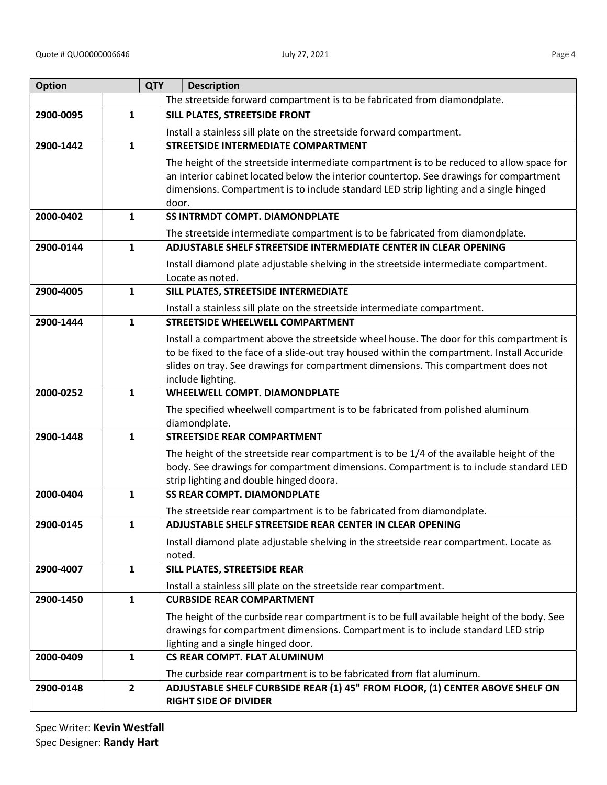| <b>Option</b> |              | <b>QTY</b><br><b>Description</b>                                                                                                                                                        |
|---------------|--------------|-----------------------------------------------------------------------------------------------------------------------------------------------------------------------------------------|
|               |              | The streetside forward compartment is to be fabricated from diamondplate.                                                                                                               |
| 2900-0095     | 1            | SILL PLATES, STREETSIDE FRONT                                                                                                                                                           |
|               |              | Install a stainless sill plate on the streetside forward compartment.                                                                                                                   |
| 2900-1442     | $\mathbf{1}$ | <b>STREETSIDE INTERMEDIATE COMPARTMENT</b>                                                                                                                                              |
|               |              | The height of the streetside intermediate compartment is to be reduced to allow space for                                                                                               |
|               |              | an interior cabinet located below the interior countertop. See drawings for compartment                                                                                                 |
|               |              | dimensions. Compartment is to include standard LED strip lighting and a single hinged                                                                                                   |
|               |              | door.<br><b>SS INTRMDT COMPT. DIAMONDPLATE</b>                                                                                                                                          |
| 2000-0402     | $\mathbf{1}$ |                                                                                                                                                                                         |
|               |              | The streetside intermediate compartment is to be fabricated from diamondplate.                                                                                                          |
| 2900-0144     | $\mathbf{1}$ | ADJUSTABLE SHELF STREETSIDE INTERMEDIATE CENTER IN CLEAR OPENING                                                                                                                        |
|               |              | Install diamond plate adjustable shelving in the streetside intermediate compartment.                                                                                                   |
| 2900-4005     | $\mathbf{1}$ | Locate as noted.<br>SILL PLATES, STREETSIDE INTERMEDIATE                                                                                                                                |
|               |              |                                                                                                                                                                                         |
| 2900-1444     | $\mathbf{1}$ | Install a stainless sill plate on the streetside intermediate compartment.<br><b>STREETSIDE WHEELWELL COMPARTMENT</b>                                                                   |
|               |              |                                                                                                                                                                                         |
|               |              | Install a compartment above the streetside wheel house. The door for this compartment is<br>to be fixed to the face of a slide-out tray housed within the compartment. Install Accuride |
|               |              | slides on tray. See drawings for compartment dimensions. This compartment does not                                                                                                      |
|               |              | include lighting.                                                                                                                                                                       |
| 2000-0252     | $\mathbf{1}$ | <b>WHEELWELL COMPT. DIAMONDPLATE</b>                                                                                                                                                    |
|               |              | The specified wheelwell compartment is to be fabricated from polished aluminum                                                                                                          |
|               |              | diamondplate.                                                                                                                                                                           |
| 2900-1448     | $\mathbf{1}$ | <b>STREETSIDE REAR COMPARTMENT</b>                                                                                                                                                      |
|               |              | The height of the streetside rear compartment is to be 1/4 of the available height of the                                                                                               |
|               |              | body. See drawings for compartment dimensions. Compartment is to include standard LED                                                                                                   |
|               |              | strip lighting and double hinged doora.                                                                                                                                                 |
| 2000-0404     | 1            | <b>SS REAR COMPT. DIAMONDPLATE</b>                                                                                                                                                      |
|               |              | The streetside rear compartment is to be fabricated from diamondplate.                                                                                                                  |
| 2900-0145     | 1            | ADJUSTABLE SHELF STREETSIDE REAR CENTER IN CLEAR OPENING                                                                                                                                |
|               |              | Install diamond plate adjustable shelving in the streetside rear compartment. Locate as<br>noted.                                                                                       |
| 2900-4007     | $\mathbf{1}$ | SILL PLATES, STREETSIDE REAR                                                                                                                                                            |
|               |              | Install a stainless sill plate on the streetside rear compartment.                                                                                                                      |
| 2900-1450     | $\mathbf{1}$ | <b>CURBSIDE REAR COMPARTMENT</b>                                                                                                                                                        |
|               |              | The height of the curbside rear compartment is to be full available height of the body. See                                                                                             |
|               |              | drawings for compartment dimensions. Compartment is to include standard LED strip                                                                                                       |
|               |              | lighting and a single hinged door.                                                                                                                                                      |
| 2000-0409     | $\mathbf{1}$ | <b>CS REAR COMPT. FLAT ALUMINUM</b>                                                                                                                                                     |
|               |              | The curbside rear compartment is to be fabricated from flat aluminum.                                                                                                                   |
| 2900-0148     | $\mathbf{2}$ | ADJUSTABLE SHELF CURBSIDE REAR (1) 45" FROM FLOOR, (1) CENTER ABOVE SHELF ON                                                                                                            |
|               |              | <b>RIGHT SIDE OF DIVIDER</b>                                                                                                                                                            |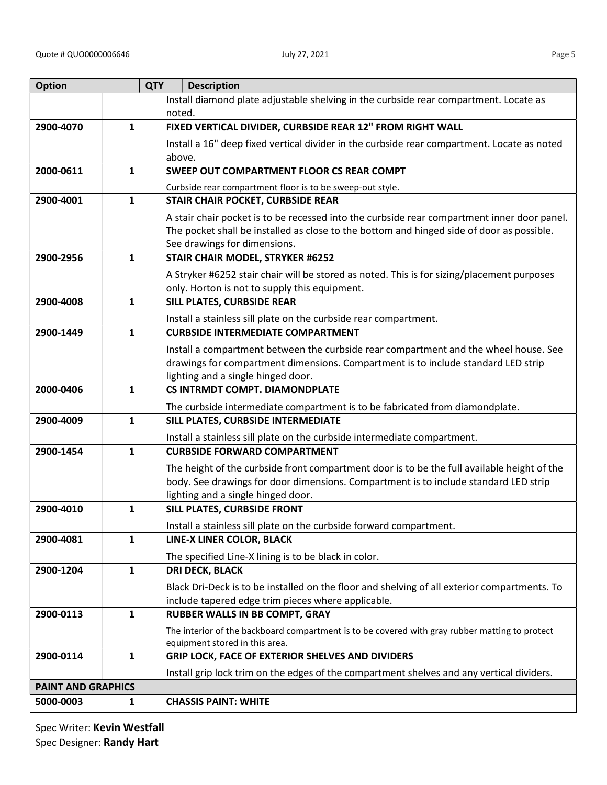| ۰.<br>v |
|---------|
|---------|

| <b>Option</b>             | <b>QTY</b>   | <b>Description</b>                                                                                                                                                                  |
|---------------------------|--------------|-------------------------------------------------------------------------------------------------------------------------------------------------------------------------------------|
|                           |              | Install diamond plate adjustable shelving in the curbside rear compartment. Locate as                                                                                               |
|                           |              | noted.                                                                                                                                                                              |
| 2900-4070                 | $\mathbf{1}$ | FIXED VERTICAL DIVIDER, CURBSIDE REAR 12" FROM RIGHT WALL                                                                                                                           |
|                           |              | Install a 16" deep fixed vertical divider in the curbside rear compartment. Locate as noted                                                                                         |
|                           |              | above.                                                                                                                                                                              |
| 2000-0611                 | 1            | <b>SWEEP OUT COMPARTMENT FLOOR CS REAR COMPT</b>                                                                                                                                    |
|                           |              | Curbside rear compartment floor is to be sweep-out style.                                                                                                                           |
| 2900-4001                 | $\mathbf{1}$ | STAIR CHAIR POCKET, CURBSIDE REAR                                                                                                                                                   |
|                           |              | A stair chair pocket is to be recessed into the curbside rear compartment inner door panel.                                                                                         |
|                           |              | The pocket shall be installed as close to the bottom and hinged side of door as possible.                                                                                           |
|                           |              | See drawings for dimensions.                                                                                                                                                        |
| 2900-2956                 | $\mathbf{1}$ | <b>STAIR CHAIR MODEL, STRYKER #6252</b>                                                                                                                                             |
|                           |              | A Stryker #6252 stair chair will be stored as noted. This is for sizing/placement purposes                                                                                          |
|                           |              | only. Horton is not to supply this equipment.                                                                                                                                       |
| 2900-4008                 | $\mathbf{1}$ | <b>SILL PLATES, CURBSIDE REAR</b>                                                                                                                                                   |
|                           |              | Install a stainless sill plate on the curbside rear compartment.                                                                                                                    |
| 2900-1449                 | $\mathbf{1}$ | <b>CURBSIDE INTERMEDIATE COMPARTMENT</b>                                                                                                                                            |
|                           |              | Install a compartment between the curbside rear compartment and the wheel house. See                                                                                                |
|                           |              | drawings for compartment dimensions. Compartment is to include standard LED strip                                                                                                   |
|                           |              | lighting and a single hinged door.                                                                                                                                                  |
| 2000-0406                 | $\mathbf{1}$ | <b>CS INTRMDT COMPT. DIAMONDPLATE</b>                                                                                                                                               |
|                           |              | The curbside intermediate compartment is to be fabricated from diamondplate.                                                                                                        |
| 2900-4009                 | $\mathbf{1}$ | SILL PLATES, CURBSIDE INTERMEDIATE                                                                                                                                                  |
|                           |              | Install a stainless sill plate on the curbside intermediate compartment.                                                                                                            |
| 2900-1454                 | $\mathbf{1}$ | <b>CURBSIDE FORWARD COMPARTMENT</b>                                                                                                                                                 |
|                           |              |                                                                                                                                                                                     |
|                           |              | The height of the curbside front compartment door is to be the full available height of the<br>body. See drawings for door dimensions. Compartment is to include standard LED strip |
|                           |              | lighting and a single hinged door.                                                                                                                                                  |
| 2900-4010                 | 1            | SILL PLATES, CURBSIDE FRONT                                                                                                                                                         |
|                           |              | Install a stainless sill plate on the curbside forward compartment.                                                                                                                 |
| 2900-4081                 | $\mathbf{1}$ | LINE-X LINER COLOR, BLACK                                                                                                                                                           |
|                           |              |                                                                                                                                                                                     |
|                           |              | The specified Line-X lining is to be black in color.                                                                                                                                |
| 2900-1204                 | $\mathbf{1}$ | <b>DRI DECK, BLACK</b>                                                                                                                                                              |
|                           |              | Black Dri-Deck is to be installed on the floor and shelving of all exterior compartments. To                                                                                        |
|                           |              | include tapered edge trim pieces where applicable.                                                                                                                                  |
| 2900-0113                 | $\mathbf{1}$ | <b>RUBBER WALLS IN BB COMPT, GRAY</b>                                                                                                                                               |
|                           |              | The interior of the backboard compartment is to be covered with gray rubber matting to protect                                                                                      |
| 2900-0114                 | $\mathbf{1}$ | equipment stored in this area.<br>GRIP LOCK, FACE OF EXTERIOR SHELVES AND DIVIDERS                                                                                                  |
|                           |              |                                                                                                                                                                                     |
|                           |              | Install grip lock trim on the edges of the compartment shelves and any vertical dividers.                                                                                           |
| <b>PAINT AND GRAPHICS</b> |              |                                                                                                                                                                                     |
| 5000-0003                 | 1            | <b>CHASSIS PAINT: WHITE</b>                                                                                                                                                         |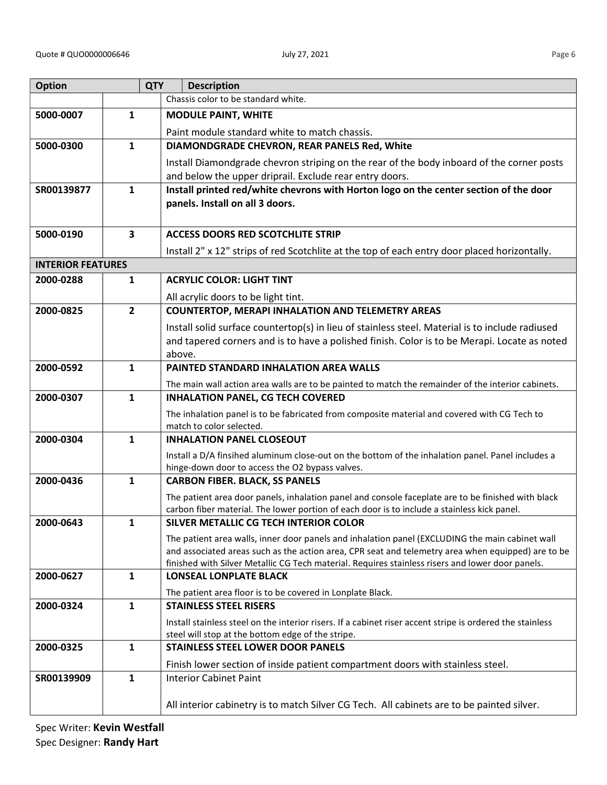| <b>Option</b>            |              | <b>QTY</b><br><b>Description</b>                                                                                                                                                                  |
|--------------------------|--------------|---------------------------------------------------------------------------------------------------------------------------------------------------------------------------------------------------|
|                          |              | Chassis color to be standard white.                                                                                                                                                               |
| 5000-0007                | 1            | <b>MODULE PAINT, WHITE</b>                                                                                                                                                                        |
|                          |              | Paint module standard white to match chassis.                                                                                                                                                     |
| 5000-0300                | $\mathbf{1}$ | DIAMONDGRADE CHEVRON, REAR PANELS Red, White                                                                                                                                                      |
|                          |              | Install Diamondgrade chevron striping on the rear of the body inboard of the corner posts                                                                                                         |
|                          |              | and below the upper driprail. Exclude rear entry doors.                                                                                                                                           |
| SR00139877               | $\mathbf{1}$ | Install printed red/white chevrons with Horton logo on the center section of the door                                                                                                             |
|                          |              | panels. Install on all 3 doors.                                                                                                                                                                   |
|                          |              |                                                                                                                                                                                                   |
| 5000-0190                | 3            | <b>ACCESS DOORS RED SCOTCHLITE STRIP</b>                                                                                                                                                          |
|                          |              | Install 2" x 12" strips of red Scotchlite at the top of each entry door placed horizontally.                                                                                                      |
| <b>INTERIOR FEATURES</b> |              |                                                                                                                                                                                                   |
| 2000-0288                | $\mathbf{1}$ | <b>ACRYLIC COLOR: LIGHT TINT</b>                                                                                                                                                                  |
|                          |              | All acrylic doors to be light tint.                                                                                                                                                               |
| 2000-0825                | $\mathbf{2}$ | <b>COUNTERTOP, MERAPI INHALATION AND TELEMETRY AREAS</b>                                                                                                                                          |
|                          |              | Install solid surface countertop(s) in lieu of stainless steel. Material is to include radiused                                                                                                   |
|                          |              | and tapered corners and is to have a polished finish. Color is to be Merapi. Locate as noted<br>above.                                                                                            |
| 2000-0592                | $\mathbf{1}$ | PAINTED STANDARD INHALATION AREA WALLS                                                                                                                                                            |
|                          |              | The main wall action area walls are to be painted to match the remainder of the interior cabinets.                                                                                                |
| 2000-0307                | $\mathbf{1}$ | <b>INHALATION PANEL, CG TECH COVERED</b>                                                                                                                                                          |
|                          |              | The inhalation panel is to be fabricated from composite material and covered with CG Tech to                                                                                                      |
|                          |              | match to color selected.                                                                                                                                                                          |
| 2000-0304                | $\mathbf{1}$ | <b>INHALATION PANEL CLOSEOUT</b>                                                                                                                                                                  |
|                          |              | Install a D/A finsihed aluminum close-out on the bottom of the inhalation panel. Panel includes a                                                                                                 |
|                          |              | hinge-down door to access the O2 bypass valves.                                                                                                                                                   |
| 2000-0436                | $\mathbf{1}$ | <b>CARBON FIBER. BLACK, SS PANELS</b>                                                                                                                                                             |
|                          |              | The patient area door panels, inhalation panel and console faceplate are to be finished with black<br>carbon fiber material. The lower portion of each door is to include a stainless kick panel. |
| 2000-0643                | 1            | SILVER METALLIC CG TECH INTERIOR COLOR                                                                                                                                                            |
|                          |              | The patient area walls, inner door panels and inhalation panel (EXCLUDING the main cabinet wall                                                                                                   |
|                          |              | and associated areas such as the action area, CPR seat and telemetry area when equipped) are to be                                                                                                |
|                          |              | finished with Silver Metallic CG Tech material. Requires stainless risers and lower door panels.                                                                                                  |
| 2000-0627                | $\mathbf{1}$ | <b>LONSEAL LONPLATE BLACK</b>                                                                                                                                                                     |
|                          |              | The patient area floor is to be covered in Lonplate Black.                                                                                                                                        |
| 2000-0324                | $\mathbf{1}$ | <b>STAINLESS STEEL RISERS</b>                                                                                                                                                                     |
|                          |              | Install stainless steel on the interior risers. If a cabinet riser accent stripe is ordered the stainless<br>steel will stop at the bottom edge of the stripe.                                    |
| 2000-0325                | $\mathbf{1}$ | <b>STAINLESS STEEL LOWER DOOR PANELS</b>                                                                                                                                                          |
|                          |              | Finish lower section of inside patient compartment doors with stainless steel.                                                                                                                    |
| SR00139909               | $\mathbf{1}$ | <b>Interior Cabinet Paint</b>                                                                                                                                                                     |
|                          |              |                                                                                                                                                                                                   |
|                          |              | All interior cabinetry is to match Silver CG Tech. All cabinets are to be painted silver.                                                                                                         |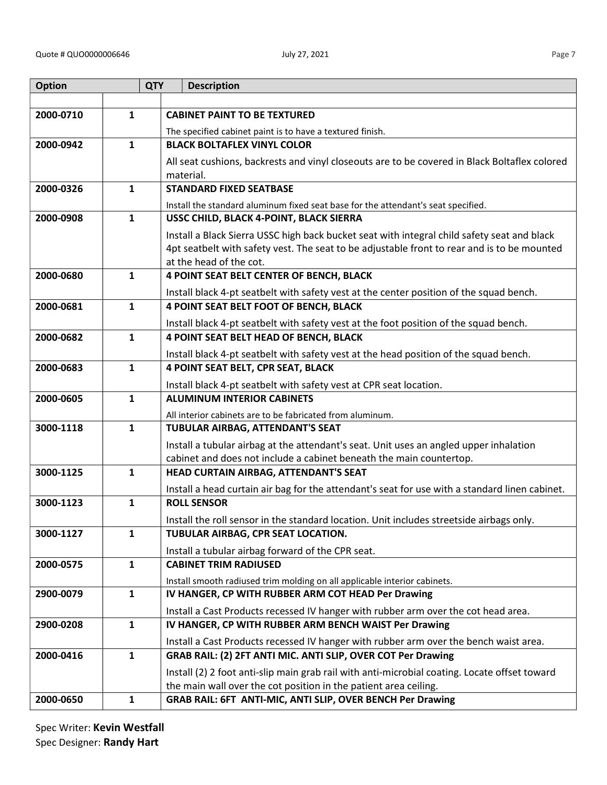| <b>Option</b> |              | <b>QTY</b><br><b>Description</b>                                                                                                  |
|---------------|--------------|-----------------------------------------------------------------------------------------------------------------------------------|
|               |              |                                                                                                                                   |
| 2000-0710     | $\mathbf{1}$ | <b>CABINET PAINT TO BE TEXTURED</b>                                                                                               |
|               |              | The specified cabinet paint is to have a textured finish.                                                                         |
| 2000-0942     | $\mathbf{1}$ | <b>BLACK BOLTAFLEX VINYL COLOR</b>                                                                                                |
|               |              | All seat cushions, backrests and vinyl closeouts are to be covered in Black Boltaflex colored                                     |
|               |              | material.                                                                                                                         |
| 2000-0326     | $\mathbf{1}$ | <b>STANDARD FIXED SEATBASE</b>                                                                                                    |
|               |              | Install the standard aluminum fixed seat base for the attendant's seat specified.                                                 |
| 2000-0908     | $\mathbf{1}$ | USSC CHILD, BLACK 4-POINT, BLACK SIERRA                                                                                           |
|               |              | Install a Black Sierra USSC high back bucket seat with integral child safety seat and black                                       |
|               |              | 4pt seatbelt with safety vest. The seat to be adjustable front to rear and is to be mounted                                       |
| 2000-0680     | $\mathbf{1}$ | at the head of the cot.                                                                                                           |
|               |              | 4 POINT SEAT BELT CENTER OF BENCH, BLACK                                                                                          |
| 2000-0681     |              | Install black 4-pt seatbelt with safety vest at the center position of the squad bench.<br>4 POINT SEAT BELT FOOT OF BENCH, BLACK |
|               | $\mathbf{1}$ |                                                                                                                                   |
| 2000-0682     | $\mathbf{1}$ | Install black 4-pt seatbelt with safety vest at the foot position of the squad bench.<br>4 POINT SEAT BELT HEAD OF BENCH, BLACK   |
|               |              |                                                                                                                                   |
| 2000-0683     | $\mathbf{1}$ | Install black 4-pt seatbelt with safety vest at the head position of the squad bench.<br>4 POINT SEAT BELT, CPR SEAT, BLACK       |
|               |              |                                                                                                                                   |
| 2000-0605     | $\mathbf{1}$ | Install black 4-pt seatbelt with safety vest at CPR seat location.<br><b>ALUMINUM INTERIOR CABINETS</b>                           |
|               |              | All interior cabinets are to be fabricated from aluminum.                                                                         |
| 3000-1118     | 1            | TUBULAR AIRBAG, ATTENDANT'S SEAT                                                                                                  |
|               |              | Install a tubular airbag at the attendant's seat. Unit uses an angled upper inhalation                                            |
|               |              | cabinet and does not include a cabinet beneath the main countertop.                                                               |
| 3000-1125     | $\mathbf{1}$ | HEAD CURTAIN AIRBAG, ATTENDANT'S SEAT                                                                                             |
|               |              | Install a head curtain air bag for the attendant's seat for use with a standard linen cabinet.                                    |
| 3000-1123     | $\mathbf{1}$ | <b>ROLL SENSOR</b>                                                                                                                |
|               |              | Install the roll sensor in the standard location. Unit includes streetside airbags only.                                          |
| 3000-1127     | $\mathbf{1}$ | TUBULAR AIRBAG, CPR SEAT LOCATION.                                                                                                |
|               |              | Install a tubular airbag forward of the CPR seat.                                                                                 |
| 2000-0575     | $\mathbf{1}$ | <b>CABINET TRIM RADIUSED</b>                                                                                                      |
|               |              | Install smooth radiused trim molding on all applicable interior cabinets.                                                         |
| 2900-0079     | $\mathbf{1}$ | IV HANGER, CP WITH RUBBER ARM COT HEAD Per Drawing                                                                                |
|               |              | Install a Cast Products recessed IV hanger with rubber arm over the cot head area.                                                |
| 2900-0208     | $\mathbf{1}$ | IV HANGER, CP WITH RUBBER ARM BENCH WAIST Per Drawing                                                                             |
|               |              | Install a Cast Products recessed IV hanger with rubber arm over the bench waist area.                                             |
| 2000-0416     | $\mathbf{1}$ | GRAB RAIL: (2) 2FT ANTI MIC. ANTI SLIP, OVER COT Per Drawing                                                                      |
|               |              | Install (2) 2 foot anti-slip main grab rail with anti-microbial coating. Locate offset toward                                     |
|               |              | the main wall over the cot position in the patient area ceiling.                                                                  |
| 2000-0650     | $\mathbf{1}$ | GRAB RAIL: 6FT ANTI-MIC, ANTI SLIP, OVER BENCH Per Drawing                                                                        |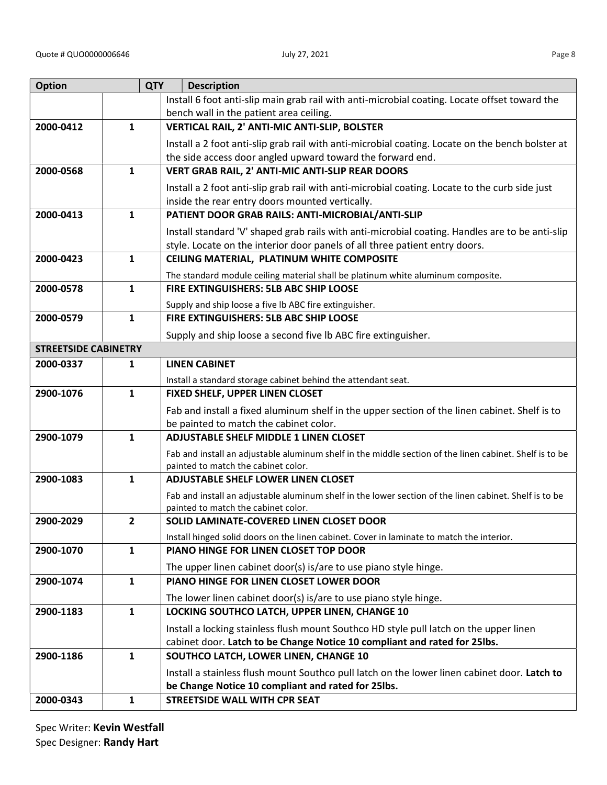| <b>Option</b>               |                | <b>QTY</b><br><b>Description</b>                                                                                                              |
|-----------------------------|----------------|-----------------------------------------------------------------------------------------------------------------------------------------------|
|                             |                | Install 6 foot anti-slip main grab rail with anti-microbial coating. Locate offset toward the                                                 |
|                             |                | bench wall in the patient area ceiling.                                                                                                       |
| 2000-0412                   | $\mathbf{1}$   | VERTICAL RAIL, 2' ANTI-MIC ANTI-SLIP, BOLSTER                                                                                                 |
|                             |                | Install a 2 foot anti-slip grab rail with anti-microbial coating. Locate on the bench bolster at                                              |
|                             |                | the side access door angled upward toward the forward end.                                                                                    |
| 2000-0568                   | 1              | VERT GRAB RAIL, 2' ANTI-MIC ANTI-SLIP REAR DOORS                                                                                              |
|                             |                | Install a 2 foot anti-slip grab rail with anti-microbial coating. Locate to the curb side just                                                |
|                             |                | inside the rear entry doors mounted vertically.                                                                                               |
| 2000-0413                   | $\mathbf{1}$   | PATIENT DOOR GRAB RAILS: ANTI-MICROBIAL/ANTI-SLIP                                                                                             |
|                             |                | Install standard 'V' shaped grab rails with anti-microbial coating. Handles are to be anti-slip                                               |
|                             |                | style. Locate on the interior door panels of all three patient entry doors.                                                                   |
| 2000-0423                   | $\mathbf{1}$   | CEILING MATERIAL, PLATINUM WHITE COMPOSITE                                                                                                    |
|                             |                | The standard module ceiling material shall be platinum white aluminum composite.                                                              |
| 2000-0578                   | 1              | FIRE EXTINGUISHERS: 5LB ABC SHIP LOOSE                                                                                                        |
|                             |                | Supply and ship loose a five Ib ABC fire extinguisher.                                                                                        |
| 2000-0579                   | $\mathbf{1}$   | FIRE EXTINGUISHERS: 5LB ABC SHIP LOOSE                                                                                                        |
|                             |                | Supply and ship loose a second five Ib ABC fire extinguisher.                                                                                 |
| <b>STREETSIDE CABINETRY</b> |                |                                                                                                                                               |
| 2000-0337                   | 1              | <b>LINEN CABINET</b>                                                                                                                          |
|                             |                | Install a standard storage cabinet behind the attendant seat.                                                                                 |
| 2900-1076                   | $\mathbf{1}$   | FIXED SHELF, UPPER LINEN CLOSET                                                                                                               |
|                             |                | Fab and install a fixed aluminum shelf in the upper section of the linen cabinet. Shelf is to                                                 |
|                             |                | be painted to match the cabinet color.                                                                                                        |
| 2900-1079                   | $\mathbf{1}$   | <b>ADJUSTABLE SHELF MIDDLE 1 LINEN CLOSET</b>                                                                                                 |
|                             |                | Fab and install an adjustable aluminum shelf in the middle section of the linen cabinet. Shelf is to be                                       |
| 2900-1083                   | $\mathbf{1}$   | painted to match the cabinet color.<br><b>ADJUSTABLE SHELF LOWER LINEN CLOSET</b>                                                             |
|                             |                |                                                                                                                                               |
|                             |                | Fab and install an adjustable aluminum shelf in the lower section of the linen cabinet. Shelf is to be<br>painted to match the cabinet color. |
| 2900-2029                   | $\overline{2}$ | SOLID LAMINATE-COVERED LINEN CLOSET DOOR                                                                                                      |
|                             |                | Install hinged solid doors on the linen cabinet. Cover in laminate to match the interior.                                                     |
| 2900-1070                   | $\mathbf{1}$   | PIANO HINGE FOR LINEN CLOSET TOP DOOR                                                                                                         |
|                             |                | The upper linen cabinet door(s) is/are to use piano style hinge.                                                                              |
| 2900-1074                   | $\mathbf{1}$   | PIANO HINGE FOR LINEN CLOSET LOWER DOOR                                                                                                       |
|                             |                | The lower linen cabinet door(s) is/are to use piano style hinge.                                                                              |
| 2900-1183                   | $\mathbf{1}$   | LOCKING SOUTHCO LATCH, UPPER LINEN, CHANGE 10                                                                                                 |
|                             |                | Install a locking stainless flush mount Southco HD style pull latch on the upper linen                                                        |
|                             |                | cabinet door. Latch to be Change Notice 10 compliant and rated for 25lbs.                                                                     |
| 2900-1186                   | $\mathbf{1}$   | SOUTHCO LATCH, LOWER LINEN, CHANGE 10                                                                                                         |
|                             |                | Install a stainless flush mount Southco pull latch on the lower linen cabinet door. Latch to                                                  |
|                             |                | be Change Notice 10 compliant and rated for 25lbs.                                                                                            |
| 2000-0343                   | $\mathbf{1}$   | <b>STREETSIDE WALL WITH CPR SEAT</b>                                                                                                          |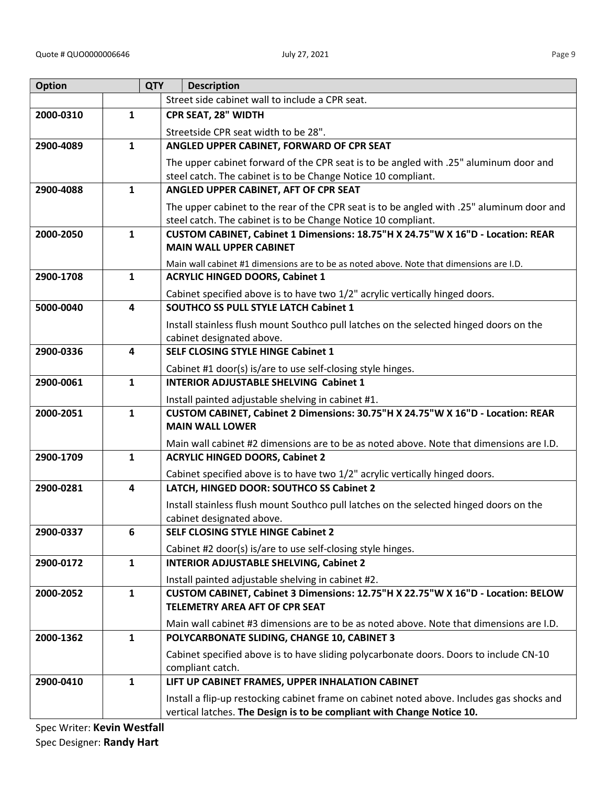| <b>Option</b> |                         | <b>QTY</b> | <b>Description</b>                                                                                                                     |
|---------------|-------------------------|------------|----------------------------------------------------------------------------------------------------------------------------------------|
|               |                         |            | Street side cabinet wall to include a CPR seat.                                                                                        |
| 2000-0310     | $\mathbf{1}$            |            | CPR SEAT, 28" WIDTH                                                                                                                    |
|               |                         |            | Streetside CPR seat width to be 28".                                                                                                   |
| 2900-4089     | $\mathbf{1}$            |            | ANGLED UPPER CABINET, FORWARD OF CPR SEAT                                                                                              |
|               |                         |            | The upper cabinet forward of the CPR seat is to be angled with .25" aluminum door and                                                  |
|               |                         |            | steel catch. The cabinet is to be Change Notice 10 compliant.                                                                          |
| 2900-4088     | $\mathbf{1}$            |            | ANGLED UPPER CABINET, AFT OF CPR SEAT                                                                                                  |
|               |                         |            | The upper cabinet to the rear of the CPR seat is to be angled with .25" aluminum door and                                              |
|               |                         |            | steel catch. The cabinet is to be Change Notice 10 compliant.                                                                          |
| 2000-2050     | $\mathbf{1}$            |            | CUSTOM CABINET, Cabinet 1 Dimensions: 18.75"H X 24.75"W X 16"D - Location: REAR                                                        |
|               |                         |            | <b>MAIN WALL UPPER CABINET</b>                                                                                                         |
|               |                         |            | Main wall cabinet #1 dimensions are to be as noted above. Note that dimensions are I.D.                                                |
| 2900-1708     | $\mathbf{1}$            |            | <b>ACRYLIC HINGED DOORS, Cabinet 1</b>                                                                                                 |
|               |                         |            | Cabinet specified above is to have two 1/2" acrylic vertically hinged doors.                                                           |
| 5000-0040     | $\overline{\mathbf{4}}$ |            | <b>SOUTHCO SS PULL STYLE LATCH Cabinet 1</b>                                                                                           |
|               |                         |            | Install stainless flush mount Southco pull latches on the selected hinged doors on the                                                 |
|               |                         |            | cabinet designated above.                                                                                                              |
| 2900-0336     | $\overline{\mathbf{4}}$ |            | <b>SELF CLOSING STYLE HINGE Cabinet 1</b>                                                                                              |
|               |                         |            | Cabinet #1 door(s) is/are to use self-closing style hinges.                                                                            |
| 2900-0061     | $\mathbf{1}$            |            | <b>INTERIOR ADJUSTABLE SHELVING Cabinet 1</b>                                                                                          |
|               |                         |            | Install painted adjustable shelving in cabinet #1.                                                                                     |
| 2000-2051     | $\mathbf{1}$            |            | CUSTOM CABINET, Cabinet 2 Dimensions: 30.75"H X 24.75"W X 16"D - Location: REAR                                                        |
|               |                         |            | <b>MAIN WALL LOWER</b>                                                                                                                 |
|               |                         |            | Main wall cabinet #2 dimensions are to be as noted above. Note that dimensions are I.D.                                                |
| 2900-1709     | $\mathbf{1}$            |            | <b>ACRYLIC HINGED DOORS, Cabinet 2</b>                                                                                                 |
|               |                         |            | Cabinet specified above is to have two 1/2" acrylic vertically hinged doors.                                                           |
| 2900-0281     | 4                       |            | LATCH, HINGED DOOR: SOUTHCO SS Cabinet 2                                                                                               |
|               |                         |            | Install stainless flush mount Southco pull latches on the selected hinged doors on the                                                 |
| 2900-0337     | 6                       |            | cabinet designated above.<br><b>SELF CLOSING STYLE HINGE Cabinet 2</b>                                                                 |
|               |                         |            |                                                                                                                                        |
| 2900-0172     | $\mathbf{1}$            |            | Cabinet #2 door(s) is/are to use self-closing style hinges.<br><b>INTERIOR ADJUSTABLE SHELVING, Cabinet 2</b>                          |
|               |                         |            |                                                                                                                                        |
| 2000-2052     | $\mathbf{1}$            |            | Install painted adjustable shelving in cabinet #2.<br>CUSTOM CABINET, Cabinet 3 Dimensions: 12.75"H X 22.75"W X 16"D - Location: BELOW |
|               |                         |            | TELEMETRY AREA AFT OF CPR SEAT                                                                                                         |
|               |                         |            | Main wall cabinet #3 dimensions are to be as noted above. Note that dimensions are I.D.                                                |
| 2000-1362     | $\mathbf{1}$            |            | POLYCARBONATE SLIDING, CHANGE 10, CABINET 3                                                                                            |
|               |                         |            | Cabinet specified above is to have sliding polycarbonate doors. Doors to include CN-10                                                 |
|               |                         |            | compliant catch.                                                                                                                       |
| 2900-0410     | $\mathbf{1}$            |            | LIFT UP CABINET FRAMES, UPPER INHALATION CABINET                                                                                       |
|               |                         |            | Install a flip-up restocking cabinet frame on cabinet noted above. Includes gas shocks and                                             |
|               |                         |            | vertical latches. The Design is to be compliant with Change Notice 10.                                                                 |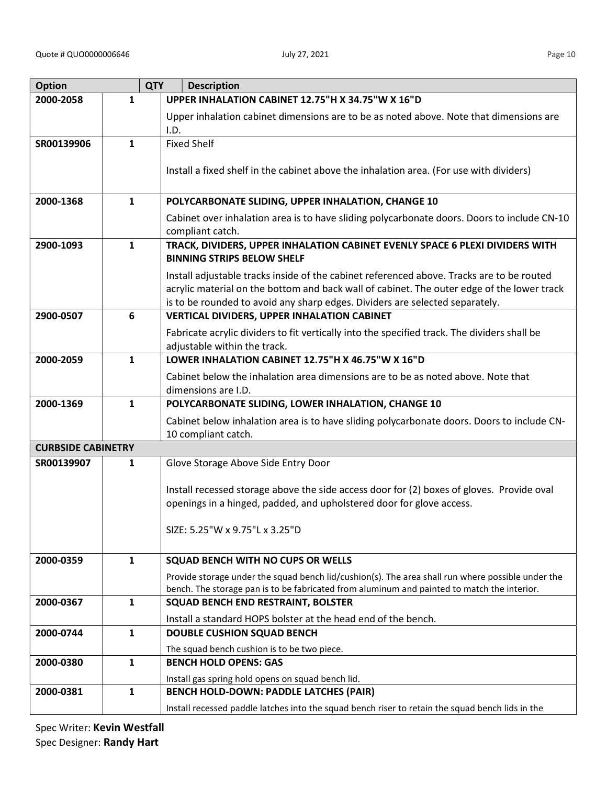**Option** 

| <b>Option</b>             |              | <b>QTY</b><br><b>Description</b>                                                                                                                                                                                                                                        |
|---------------------------|--------------|-------------------------------------------------------------------------------------------------------------------------------------------------------------------------------------------------------------------------------------------------------------------------|
| 2000-2058                 | $\mathbf{1}$ | UPPER INHALATION CABINET 12.75"H X 34.75"W X 16"D                                                                                                                                                                                                                       |
|                           |              | Upper inhalation cabinet dimensions are to be as noted above. Note that dimensions are<br>I.D.                                                                                                                                                                          |
| SR00139906                | $\mathbf{1}$ | <b>Fixed Shelf</b>                                                                                                                                                                                                                                                      |
|                           |              | Install a fixed shelf in the cabinet above the inhalation area. (For use with dividers)                                                                                                                                                                                 |
| 2000-1368                 | $\mathbf{1}$ | POLYCARBONATE SLIDING, UPPER INHALATION, CHANGE 10                                                                                                                                                                                                                      |
|                           |              | Cabinet over inhalation area is to have sliding polycarbonate doors. Doors to include CN-10<br>compliant catch.                                                                                                                                                         |
| 2900-1093                 | $\mathbf{1}$ | TRACK, DIVIDERS, UPPER INHALATION CABINET EVENLY SPACE 6 PLEXI DIVIDERS WITH<br><b>BINNING STRIPS BELOW SHELF</b>                                                                                                                                                       |
|                           |              | Install adjustable tracks inside of the cabinet referenced above. Tracks are to be routed<br>acrylic material on the bottom and back wall of cabinet. The outer edge of the lower track<br>is to be rounded to avoid any sharp edges. Dividers are selected separately. |
| 2900-0507                 | 6            | <b>VERTICAL DIVIDERS, UPPER INHALATION CABINET</b>                                                                                                                                                                                                                      |
|                           |              | Fabricate acrylic dividers to fit vertically into the specified track. The dividers shall be<br>adjustable within the track.                                                                                                                                            |
| 2000-2059                 | $\mathbf{1}$ | LOWER INHALATION CABINET 12.75"H X 46.75"W X 16"D                                                                                                                                                                                                                       |
|                           |              | Cabinet below the inhalation area dimensions are to be as noted above. Note that<br>dimensions are I.D.                                                                                                                                                                 |
| 2000-1369                 | $\mathbf{1}$ | POLYCARBONATE SLIDING, LOWER INHALATION, CHANGE 10                                                                                                                                                                                                                      |
|                           |              | Cabinet below inhalation area is to have sliding polycarbonate doors. Doors to include CN-<br>10 compliant catch.                                                                                                                                                       |
| <b>CURBSIDE CABINETRY</b> |              |                                                                                                                                                                                                                                                                         |
| SR00139907                | $\mathbf{1}$ | Glove Storage Above Side Entry Door                                                                                                                                                                                                                                     |
|                           |              | Install recessed storage above the side access door for (2) boxes of gloves. Provide oval                                                                                                                                                                               |
|                           |              | openings in a hinged, padded, and upholstered door for glove access.                                                                                                                                                                                                    |
|                           |              | SIZE: 5.25"W x 9.75"L x 3.25"D                                                                                                                                                                                                                                          |
| 2000-0359                 | 1            | SQUAD BENCH WITH NO CUPS OR WELLS                                                                                                                                                                                                                                       |

| 2000-0359 | 1 | SQUAD BENCH WITH NO CUPS OR WELLS                                                                                                                                                                |
|-----------|---|--------------------------------------------------------------------------------------------------------------------------------------------------------------------------------------------------|
|           |   | Provide storage under the squad bench lid/cushion(s). The area shall run where possible under the<br>bench. The storage pan is to be fabricated from aluminum and painted to match the interior. |
| 2000-0367 |   | <b>SQUAD BENCH END RESTRAINT, BOLSTER</b>                                                                                                                                                        |
|           |   | Install a standard HOPS bolster at the head end of the bench.                                                                                                                                    |
| 2000-0744 |   | <b>DOUBLE CUSHION SQUAD BENCH</b>                                                                                                                                                                |
|           |   | The squad bench cushion is to be two piece.                                                                                                                                                      |
| 2000-0380 |   | <b>BENCH HOLD OPENS: GAS</b>                                                                                                                                                                     |
|           |   | Install gas spring hold opens on squad bench lid.                                                                                                                                                |
| 2000-0381 |   | <b>BENCH HOLD-DOWN: PADDLE LATCHES (PAIR)</b>                                                                                                                                                    |
|           |   | Install recessed paddle latches into the squad bench riser to retain the squad bench lids in the                                                                                                 |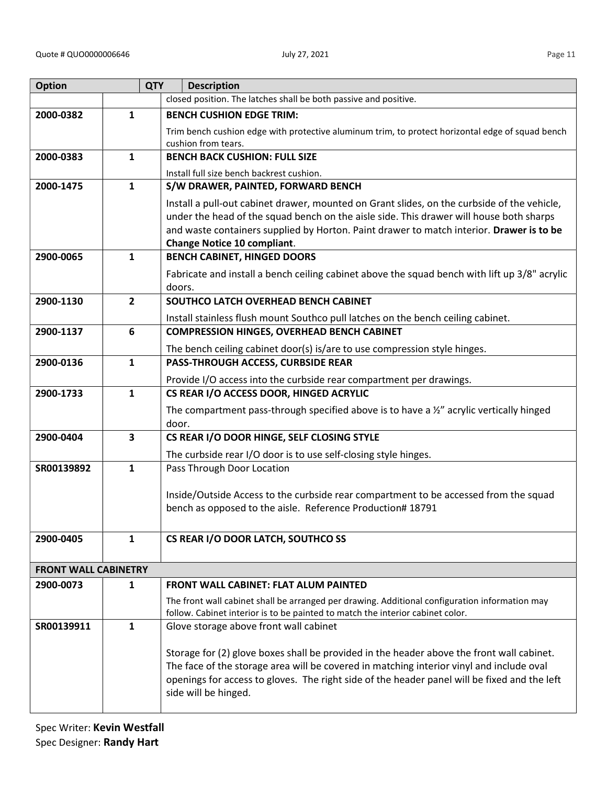| <b>Option</b>               | <b>QTY</b>              | <b>Description</b>                                                                                                             |
|-----------------------------|-------------------------|--------------------------------------------------------------------------------------------------------------------------------|
|                             |                         | closed position. The latches shall be both passive and positive.                                                               |
| 2000-0382                   | $\mathbf{1}$            | <b>BENCH CUSHION EDGE TRIM:</b>                                                                                                |
|                             |                         | Trim bench cushion edge with protective aluminum trim, to protect horizontal edge of squad bench                               |
|                             |                         | cushion from tears.                                                                                                            |
| 2000-0383                   | $\mathbf{1}$            | <b>BENCH BACK CUSHION: FULL SIZE</b>                                                                                           |
|                             |                         | Install full size bench backrest cushion.                                                                                      |
| 2000-1475                   | $\mathbf{1}$            | S/W DRAWER, PAINTED, FORWARD BENCH                                                                                             |
|                             |                         | Install a pull-out cabinet drawer, mounted on Grant slides, on the curbside of the vehicle,                                    |
|                             |                         | under the head of the squad bench on the aisle side. This drawer will house both sharps                                        |
|                             |                         | and waste containers supplied by Horton. Paint drawer to match interior. Drawer is to be<br><b>Change Notice 10 compliant.</b> |
| 2900-0065                   | $\mathbf{1}$            | <b>BENCH CABINET, HINGED DOORS</b>                                                                                             |
|                             |                         | Fabricate and install a bench ceiling cabinet above the squad bench with lift up 3/8" acrylic                                  |
|                             |                         | doors.                                                                                                                         |
| 2900-1130                   | $\overline{2}$          | SOUTHCO LATCH OVERHEAD BENCH CABINET                                                                                           |
|                             |                         | Install stainless flush mount Southco pull latches on the bench ceiling cabinet.                                               |
| 2900-1137                   | 6                       | <b>COMPRESSION HINGES, OVERHEAD BENCH CABINET</b>                                                                              |
|                             |                         | The bench ceiling cabinet door(s) is/are to use compression style hinges.                                                      |
| 2900-0136                   | $\mathbf{1}$            | PASS-THROUGH ACCESS, CURBSIDE REAR                                                                                             |
|                             |                         | Provide I/O access into the curbside rear compartment per drawings.                                                            |
| 2900-1733                   | $\mathbf{1}$            | CS REAR I/O ACCESS DOOR, HINGED ACRYLIC                                                                                        |
|                             |                         | The compartment pass-through specified above is to have a $\frac{1}{2}$ acrylic vertically hinged                              |
|                             |                         | door.                                                                                                                          |
| 2900-0404                   | $\overline{\mathbf{3}}$ | CS REAR I/O DOOR HINGE, SELF CLOSING STYLE                                                                                     |
|                             |                         | The curbside rear I/O door is to use self-closing style hinges.                                                                |
| SR00139892                  | $\mathbf{1}$            | Pass Through Door Location                                                                                                     |
|                             |                         | Inside/Outside Access to the curbside rear compartment to be accessed from the squad                                           |
|                             |                         | bench as opposed to the aisle. Reference Production# 18791                                                                     |
|                             |                         |                                                                                                                                |
| 2900-0405                   | $\mathbf{1}$            | CS REAR I/O DOOR LATCH, SOUTHCO SS                                                                                             |
|                             |                         |                                                                                                                                |
| <b>FRONT WALL CABINETRY</b> |                         |                                                                                                                                |
| 2900-0073                   | 1                       | <b>FRONT WALL CABINET: FLAT ALUM PAINTED</b>                                                                                   |
|                             |                         | The front wall cabinet shall be arranged per drawing. Additional configuration information may                                 |
|                             |                         | follow. Cabinet interior is to be painted to match the interior cabinet color.                                                 |
| SR00139911                  | $\mathbf{1}$            | Glove storage above front wall cabinet                                                                                         |
|                             |                         | Storage for (2) glove boxes shall be provided in the header above the front wall cabinet.                                      |
|                             |                         | The face of the storage area will be covered in matching interior vinyl and include oval                                       |
|                             |                         | openings for access to gloves. The right side of the header panel will be fixed and the left                                   |
|                             |                         | side will be hinged.                                                                                                           |
|                             |                         |                                                                                                                                |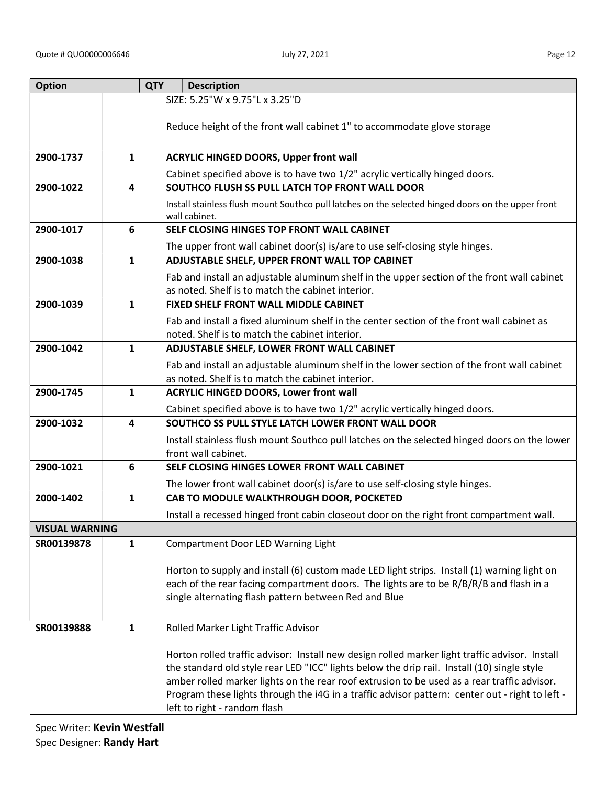| <b>Option</b>         |                         | <b>QTY</b> | <b>Description</b>                                                                                                                                                                                                                                                                                                                                                                                                              |
|-----------------------|-------------------------|------------|---------------------------------------------------------------------------------------------------------------------------------------------------------------------------------------------------------------------------------------------------------------------------------------------------------------------------------------------------------------------------------------------------------------------------------|
|                       |                         |            | SIZE: 5.25"W x 9.75"L x 3.25"D                                                                                                                                                                                                                                                                                                                                                                                                  |
|                       |                         |            | Reduce height of the front wall cabinet 1" to accommodate glove storage                                                                                                                                                                                                                                                                                                                                                         |
| 2900-1737             | $\mathbf{1}$            |            | <b>ACRYLIC HINGED DOORS, Upper front wall</b>                                                                                                                                                                                                                                                                                                                                                                                   |
|                       |                         |            | Cabinet specified above is to have two 1/2" acrylic vertically hinged doors.                                                                                                                                                                                                                                                                                                                                                    |
| 2900-1022             | $\overline{\mathbf{4}}$ |            | SOUTHCO FLUSH SS PULL LATCH TOP FRONT WALL DOOR                                                                                                                                                                                                                                                                                                                                                                                 |
|                       |                         |            | Install stainless flush mount Southco pull latches on the selected hinged doors on the upper front<br>wall cabinet.                                                                                                                                                                                                                                                                                                             |
| 2900-1017             | 6                       |            | SELF CLOSING HINGES TOP FRONT WALL CABINET                                                                                                                                                                                                                                                                                                                                                                                      |
|                       |                         |            | The upper front wall cabinet door(s) is/are to use self-closing style hinges.                                                                                                                                                                                                                                                                                                                                                   |
| 2900-1038             | $\mathbf{1}$            |            | ADJUSTABLE SHELF, UPPER FRONT WALL TOP CABINET                                                                                                                                                                                                                                                                                                                                                                                  |
|                       |                         |            | Fab and install an adjustable aluminum shelf in the upper section of the front wall cabinet<br>as noted. Shelf is to match the cabinet interior.                                                                                                                                                                                                                                                                                |
| 2900-1039             | $\mathbf{1}$            |            | <b>FIXED SHELF FRONT WALL MIDDLE CABINET</b>                                                                                                                                                                                                                                                                                                                                                                                    |
|                       |                         |            | Fab and install a fixed aluminum shelf in the center section of the front wall cabinet as<br>noted. Shelf is to match the cabinet interior.                                                                                                                                                                                                                                                                                     |
| 2900-1042             | $\mathbf{1}$            |            | ADJUSTABLE SHELF, LOWER FRONT WALL CABINET                                                                                                                                                                                                                                                                                                                                                                                      |
|                       |                         |            | Fab and install an adjustable aluminum shelf in the lower section of the front wall cabinet                                                                                                                                                                                                                                                                                                                                     |
|                       |                         |            | as noted. Shelf is to match the cabinet interior.                                                                                                                                                                                                                                                                                                                                                                               |
| 2900-1745             | 1                       |            | <b>ACRYLIC HINGED DOORS, Lower front wall</b>                                                                                                                                                                                                                                                                                                                                                                                   |
|                       |                         |            | Cabinet specified above is to have two 1/2" acrylic vertically hinged doors.                                                                                                                                                                                                                                                                                                                                                    |
| 2900-1032             | 4                       |            | SOUTHCO SS PULL STYLE LATCH LOWER FRONT WALL DOOR                                                                                                                                                                                                                                                                                                                                                                               |
|                       |                         |            | Install stainless flush mount Southco pull latches on the selected hinged doors on the lower<br>front wall cabinet.                                                                                                                                                                                                                                                                                                             |
| 2900-1021             | 6                       |            | SELF CLOSING HINGES LOWER FRONT WALL CABINET                                                                                                                                                                                                                                                                                                                                                                                    |
|                       |                         |            | The lower front wall cabinet door(s) is/are to use self-closing style hinges.                                                                                                                                                                                                                                                                                                                                                   |
| 2000-1402             | 1                       |            | CAB TO MODULE WALKTHROUGH DOOR, POCKETED                                                                                                                                                                                                                                                                                                                                                                                        |
|                       |                         |            | Install a recessed hinged front cabin closeout door on the right front compartment wall.                                                                                                                                                                                                                                                                                                                                        |
| <b>VISUAL WARNING</b> |                         |            |                                                                                                                                                                                                                                                                                                                                                                                                                                 |
| SR00139878            | $\mathbf{1}$            |            | Compartment Door LED Warning Light                                                                                                                                                                                                                                                                                                                                                                                              |
|                       |                         |            | Horton to supply and install (6) custom made LED light strips. Install (1) warning light on<br>each of the rear facing compartment doors. The lights are to be R/B/R/B and flash in a<br>single alternating flash pattern between Red and Blue                                                                                                                                                                                  |
| SR00139888            | $\mathbf{1}$            |            | Rolled Marker Light Traffic Advisor                                                                                                                                                                                                                                                                                                                                                                                             |
|                       |                         |            | Horton rolled traffic advisor: Install new design rolled marker light traffic advisor. Install<br>the standard old style rear LED "ICC" lights below the drip rail. Install (10) single style<br>amber rolled marker lights on the rear roof extrusion to be used as a rear traffic advisor.<br>Program these lights through the i4G in a traffic advisor pattern: center out - right to left -<br>left to right - random flash |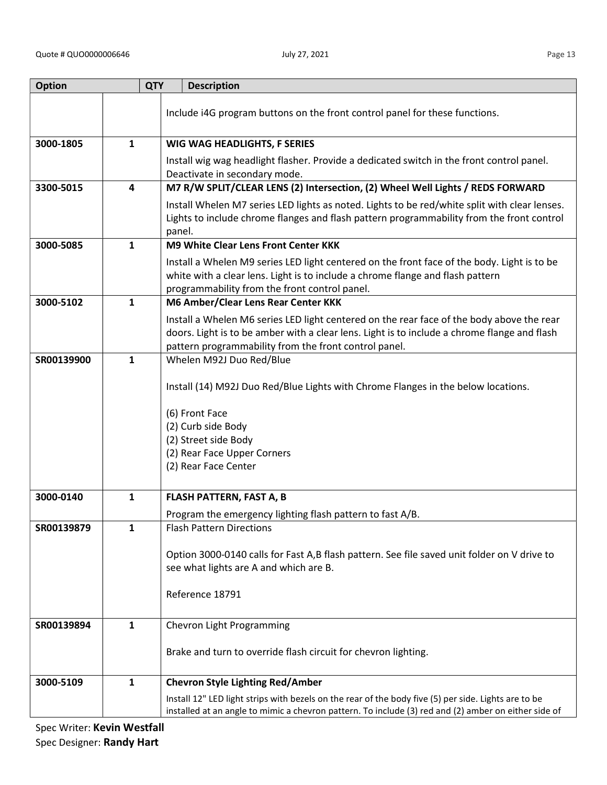| <b>Option</b> |              | <b>QTY</b> | <b>Description</b>                                                                                                                                                                                                                                 |
|---------------|--------------|------------|----------------------------------------------------------------------------------------------------------------------------------------------------------------------------------------------------------------------------------------------------|
|               |              |            | Include i4G program buttons on the front control panel for these functions.                                                                                                                                                                        |
| 3000-1805     | $\mathbf{1}$ |            | WIG WAG HEADLIGHTS, F SERIES                                                                                                                                                                                                                       |
|               |              |            | Install wig wag headlight flasher. Provide a dedicated switch in the front control panel.<br>Deactivate in secondary mode.                                                                                                                         |
| 3300-5015     | 4            |            | M7 R/W SPLIT/CLEAR LENS (2) Intersection, (2) Wheel Well Lights / REDS FORWARD                                                                                                                                                                     |
|               |              |            | Install Whelen M7 series LED lights as noted. Lights to be red/white split with clear lenses.<br>Lights to include chrome flanges and flash pattern programmability from the front control<br>panel.                                               |
| 3000-5085     | $\mathbf{1}$ |            | <b>M9 White Clear Lens Front Center KKK</b>                                                                                                                                                                                                        |
|               |              |            | Install a Whelen M9 series LED light centered on the front face of the body. Light is to be<br>white with a clear lens. Light is to include a chrome flange and flash pattern<br>programmability from the front control panel.                     |
| 3000-5102     | $\mathbf{1}$ |            | M6 Amber/Clear Lens Rear Center KKK                                                                                                                                                                                                                |
|               |              |            | Install a Whelen M6 series LED light centered on the rear face of the body above the rear<br>doors. Light is to be amber with a clear lens. Light is to include a chrome flange and flash<br>pattern programmability from the front control panel. |
| SR00139900    | $\mathbf{1}$ |            | Whelen M92J Duo Red/Blue                                                                                                                                                                                                                           |
|               |              |            | Install (14) M92J Duo Red/Blue Lights with Chrome Flanges in the below locations.                                                                                                                                                                  |
|               |              |            | (6) Front Face                                                                                                                                                                                                                                     |
|               |              |            | (2) Curb side Body                                                                                                                                                                                                                                 |
|               |              |            | (2) Street side Body                                                                                                                                                                                                                               |
|               |              |            | (2) Rear Face Upper Corners<br>(2) Rear Face Center                                                                                                                                                                                                |
|               |              |            |                                                                                                                                                                                                                                                    |
| 3000-0140     | $\mathbf{1}$ |            | <b>FLASH PATTERN, FAST A, B</b>                                                                                                                                                                                                                    |
|               |              |            | Program the emergency lighting flash pattern to fast A/B.                                                                                                                                                                                          |
| SR00139879    | $\mathbf{1}$ |            | <b>Flash Pattern Directions</b>                                                                                                                                                                                                                    |
|               |              |            |                                                                                                                                                                                                                                                    |
|               |              |            | Option 3000-0140 calls for Fast A,B flash pattern. See file saved unit folder on V drive to<br>see what lights are A and which are B.                                                                                                              |
|               |              |            |                                                                                                                                                                                                                                                    |
|               |              |            | Reference 18791                                                                                                                                                                                                                                    |
| SR00139894    | $\mathbf{1}$ |            | Chevron Light Programming                                                                                                                                                                                                                          |
|               |              |            |                                                                                                                                                                                                                                                    |
|               |              |            | Brake and turn to override flash circuit for chevron lighting.                                                                                                                                                                                     |
| 3000-5109     | $\mathbf{1}$ |            | <b>Chevron Style Lighting Red/Amber</b>                                                                                                                                                                                                            |
|               |              |            | Install 12" LED light strips with bezels on the rear of the body five (5) per side. Lights are to be                                                                                                                                               |
|               |              |            | installed at an angle to mimic a chevron pattern. To include (3) red and (2) amber on either side of                                                                                                                                               |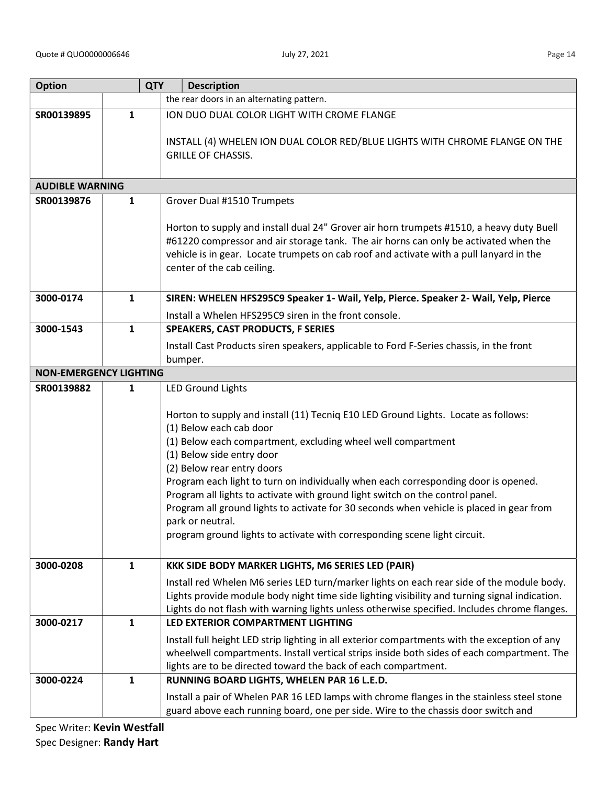| <b>Option</b>                 |              | <b>QTY</b><br><b>Description</b>                                                                                                                                                 |
|-------------------------------|--------------|----------------------------------------------------------------------------------------------------------------------------------------------------------------------------------|
|                               |              | the rear doors in an alternating pattern.                                                                                                                                        |
| SR00139895                    | $\mathbf{1}$ | ION DUO DUAL COLOR LIGHT WITH CROME FLANGE                                                                                                                                       |
|                               |              |                                                                                                                                                                                  |
|                               |              | INSTALL (4) WHELEN ION DUAL COLOR RED/BLUE LIGHTS WITH CHROME FLANGE ON THE                                                                                                      |
|                               |              | <b>GRILLE OF CHASSIS.</b>                                                                                                                                                        |
|                               |              |                                                                                                                                                                                  |
| <b>AUDIBLE WARNING</b>        |              |                                                                                                                                                                                  |
| SR00139876                    | $\mathbf{1}$ | Grover Dual #1510 Trumpets                                                                                                                                                       |
|                               |              |                                                                                                                                                                                  |
|                               |              | Horton to supply and install dual 24" Grover air horn trumpets #1510, a heavy duty Buell<br>#61220 compressor and air storage tank. The air horns can only be activated when the |
|                               |              | vehicle is in gear. Locate trumpets on cab roof and activate with a pull lanyard in the                                                                                          |
|                               |              | center of the cab ceiling.                                                                                                                                                       |
|                               |              |                                                                                                                                                                                  |
| 3000-0174                     | 1            | SIREN: WHELEN HFS295C9 Speaker 1- Wail, Yelp, Pierce. Speaker 2- Wail, Yelp, Pierce                                                                                              |
|                               |              | Install a Whelen HFS295C9 siren in the front console.                                                                                                                            |
| 3000-1543                     | 1            | <b>SPEAKERS, CAST PRODUCTS, F SERIES</b>                                                                                                                                         |
|                               |              | Install Cast Products siren speakers, applicable to Ford F-Series chassis, in the front                                                                                          |
|                               |              | bumper.                                                                                                                                                                          |
| <b>NON-EMERGENCY LIGHTING</b> |              |                                                                                                                                                                                  |
| SR00139882                    | 1            | <b>LED Ground Lights</b>                                                                                                                                                         |
|                               |              |                                                                                                                                                                                  |
|                               |              | Horton to supply and install (11) Tecniq E10 LED Ground Lights. Locate as follows:                                                                                               |
|                               |              | (1) Below each cab door                                                                                                                                                          |
|                               |              | (1) Below each compartment, excluding wheel well compartment                                                                                                                     |
|                               |              | (1) Below side entry door                                                                                                                                                        |
|                               |              | (2) Below rear entry doors                                                                                                                                                       |
|                               |              | Program each light to turn on individually when each corresponding door is opened.<br>Program all lights to activate with ground light switch on the control panel.              |
|                               |              | Program all ground lights to activate for 30 seconds when vehicle is placed in gear from                                                                                         |
|                               |              | park or neutral.                                                                                                                                                                 |
|                               |              | program ground lights to activate with corresponding scene light circuit.                                                                                                        |
|                               |              |                                                                                                                                                                                  |
| 3000-0208                     | $\mathbf{1}$ | KKK SIDE BODY MARKER LIGHTS, M6 SERIES LED (PAIR)                                                                                                                                |
|                               |              | Install red Whelen M6 series LED turn/marker lights on each rear side of the module body.                                                                                        |
|                               |              | Lights provide module body night time side lighting visibility and turning signal indication.                                                                                    |
|                               |              | Lights do not flash with warning lights unless otherwise specified. Includes chrome flanges.                                                                                     |
| 3000-0217                     | $\mathbf{1}$ | LED EXTERIOR COMPARTMENT LIGHTING                                                                                                                                                |
|                               |              | Install full height LED strip lighting in all exterior compartments with the exception of any                                                                                    |
|                               |              | wheelwell compartments. Install vertical strips inside both sides of each compartment. The                                                                                       |
|                               |              | lights are to be directed toward the back of each compartment.                                                                                                                   |
| 3000-0224                     | 1            | RUNNING BOARD LIGHTS, WHELEN PAR 16 L.E.D.                                                                                                                                       |
|                               |              | Install a pair of Whelen PAR 16 LED lamps with chrome flanges in the stainless steel stone                                                                                       |
|                               |              | guard above each running board, one per side. Wire to the chassis door switch and                                                                                                |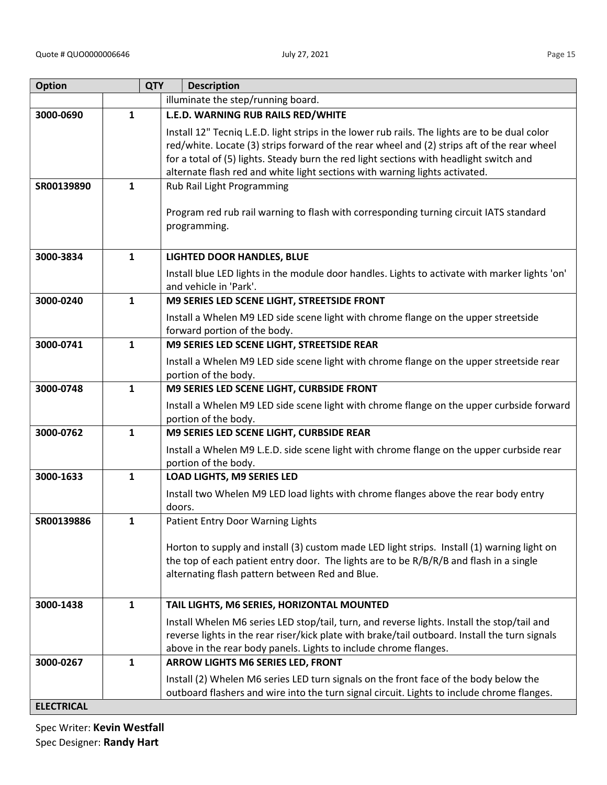| <b>Option</b>     |              | <b>QTY</b><br><b>Description</b>                                                                                                                                                                                                                                                                                                                                        |
|-------------------|--------------|-------------------------------------------------------------------------------------------------------------------------------------------------------------------------------------------------------------------------------------------------------------------------------------------------------------------------------------------------------------------------|
|                   |              | illuminate the step/running board.                                                                                                                                                                                                                                                                                                                                      |
| 3000-0690         | 1            | L.E.D. WARNING RUB RAILS RED/WHITE                                                                                                                                                                                                                                                                                                                                      |
|                   |              | Install 12" Tecniq L.E.D. light strips in the lower rub rails. The lights are to be dual color<br>red/white. Locate (3) strips forward of the rear wheel and (2) strips aft of the rear wheel<br>for a total of (5) lights. Steady burn the red light sections with headlight switch and<br>alternate flash red and white light sections with warning lights activated. |
| SR00139890        | 1            | Rub Rail Light Programming                                                                                                                                                                                                                                                                                                                                              |
|                   |              | Program red rub rail warning to flash with corresponding turning circuit IATS standard<br>programming.                                                                                                                                                                                                                                                                  |
| 3000-3834         | $\mathbf{1}$ | <b>LIGHTED DOOR HANDLES, BLUE</b>                                                                                                                                                                                                                                                                                                                                       |
|                   |              | Install blue LED lights in the module door handles. Lights to activate with marker lights 'on'<br>and vehicle in 'Park'.                                                                                                                                                                                                                                                |
| 3000-0240         | $\mathbf{1}$ | M9 SERIES LED SCENE LIGHT, STREETSIDE FRONT                                                                                                                                                                                                                                                                                                                             |
|                   |              | Install a Whelen M9 LED side scene light with chrome flange on the upper streetside<br>forward portion of the body.                                                                                                                                                                                                                                                     |
| 3000-0741         | $\mathbf{1}$ | M9 SERIES LED SCENE LIGHT, STREETSIDE REAR                                                                                                                                                                                                                                                                                                                              |
|                   |              | Install a Whelen M9 LED side scene light with chrome flange on the upper streetside rear<br>portion of the body.                                                                                                                                                                                                                                                        |
| 3000-0748         | $\mathbf{1}$ | M9 SERIES LED SCENE LIGHT, CURBSIDE FRONT                                                                                                                                                                                                                                                                                                                               |
|                   |              | Install a Whelen M9 LED side scene light with chrome flange on the upper curbside forward<br>portion of the body.                                                                                                                                                                                                                                                       |
| 3000-0762         | $\mathbf{1}$ | M9 SERIES LED SCENE LIGHT, CURBSIDE REAR                                                                                                                                                                                                                                                                                                                                |
|                   |              | Install a Whelen M9 L.E.D. side scene light with chrome flange on the upper curbside rear<br>portion of the body.                                                                                                                                                                                                                                                       |
| 3000-1633         | $\mathbf{1}$ | <b>LOAD LIGHTS, M9 SERIES LED</b>                                                                                                                                                                                                                                                                                                                                       |
|                   |              | Install two Whelen M9 LED load lights with chrome flanges above the rear body entry<br>doors.                                                                                                                                                                                                                                                                           |
| SR00139886        | 1            | Patient Entry Door Warning Lights                                                                                                                                                                                                                                                                                                                                       |
|                   |              | Horton to supply and install (3) custom made LED light strips. Install (1) warning light on<br>the top of each patient entry door. The lights are to be R/B/R/B and flash in a single<br>alternating flash pattern between Red and Blue.                                                                                                                                |
| 3000-1438         | $\mathbf{1}$ | TAIL LIGHTS, M6 SERIES, HORIZONTAL MOUNTED                                                                                                                                                                                                                                                                                                                              |
|                   |              | Install Whelen M6 series LED stop/tail, turn, and reverse lights. Install the stop/tail and<br>reverse lights in the rear riser/kick plate with brake/tail outboard. Install the turn signals<br>above in the rear body panels. Lights to include chrome flanges.                                                                                                       |
| 3000-0267         | $\mathbf{1}$ | ARROW LIGHTS M6 SERIES LED, FRONT                                                                                                                                                                                                                                                                                                                                       |
|                   |              | Install (2) Whelen M6 series LED turn signals on the front face of the body below the<br>outboard flashers and wire into the turn signal circuit. Lights to include chrome flanges.                                                                                                                                                                                     |
| <b>ELECTRICAL</b> |              |                                                                                                                                                                                                                                                                                                                                                                         |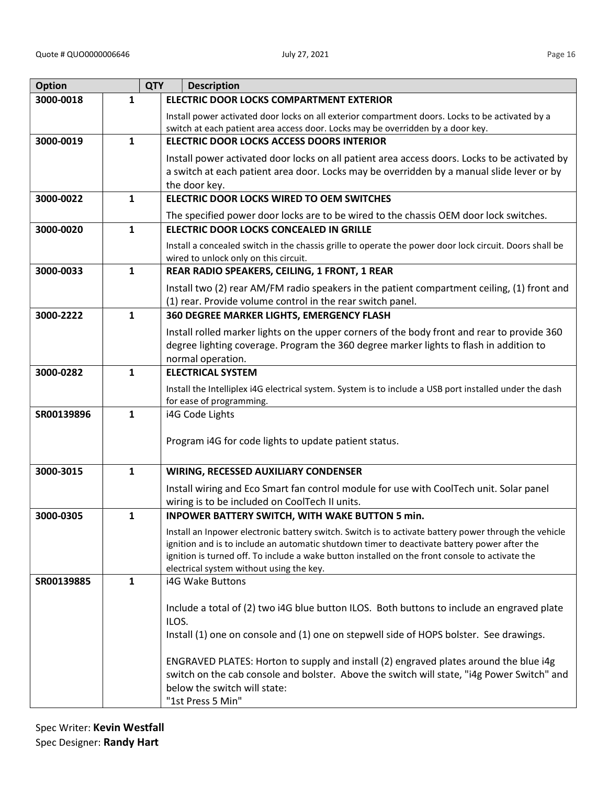| <b>Option</b> | <b>QTY</b>   | <b>Description</b>                                                                                                                                                                                                                                                                                                                                                                   |
|---------------|--------------|--------------------------------------------------------------------------------------------------------------------------------------------------------------------------------------------------------------------------------------------------------------------------------------------------------------------------------------------------------------------------------------|
| 3000-0018     | $\mathbf{1}$ | <b>ELECTRIC DOOR LOCKS COMPARTMENT EXTERIOR</b>                                                                                                                                                                                                                                                                                                                                      |
|               |              | Install power activated door locks on all exterior compartment doors. Locks to be activated by a<br>switch at each patient area access door. Locks may be overridden by a door key.                                                                                                                                                                                                  |
| 3000-0019     | $\mathbf{1}$ | <b>ELECTRIC DOOR LOCKS ACCESS DOORS INTERIOR</b>                                                                                                                                                                                                                                                                                                                                     |
|               |              | Install power activated door locks on all patient area access doors. Locks to be activated by<br>a switch at each patient area door. Locks may be overridden by a manual slide lever or by<br>the door key.                                                                                                                                                                          |
| 3000-0022     | $\mathbf{1}$ | ELECTRIC DOOR LOCKS WIRED TO OEM SWITCHES                                                                                                                                                                                                                                                                                                                                            |
|               |              | The specified power door locks are to be wired to the chassis OEM door lock switches.                                                                                                                                                                                                                                                                                                |
| 3000-0020     | $\mathbf{1}$ | ELECTRIC DOOR LOCKS CONCEALED IN GRILLE                                                                                                                                                                                                                                                                                                                                              |
|               |              | Install a concealed switch in the chassis grille to operate the power door lock circuit. Doors shall be<br>wired to unlock only on this circuit.                                                                                                                                                                                                                                     |
| 3000-0033     | $\mathbf{1}$ | REAR RADIO SPEAKERS, CEILING, 1 FRONT, 1 REAR                                                                                                                                                                                                                                                                                                                                        |
|               |              | Install two (2) rear AM/FM radio speakers in the patient compartment ceiling, (1) front and<br>(1) rear. Provide volume control in the rear switch panel.                                                                                                                                                                                                                            |
| 3000-2222     | $\mathbf{1}$ | 360 DEGREE MARKER LIGHTS, EMERGENCY FLASH                                                                                                                                                                                                                                                                                                                                            |
|               |              | Install rolled marker lights on the upper corners of the body front and rear to provide 360<br>degree lighting coverage. Program the 360 degree marker lights to flash in addition to<br>normal operation.                                                                                                                                                                           |
| 3000-0282     | $\mathbf{1}$ | <b>ELECTRICAL SYSTEM</b>                                                                                                                                                                                                                                                                                                                                                             |
|               |              | Install the Intelliplex i4G electrical system. System is to include a USB port installed under the dash<br>for ease of programming.                                                                                                                                                                                                                                                  |
| SR00139896    | $\mathbf{1}$ | i4G Code Lights                                                                                                                                                                                                                                                                                                                                                                      |
|               |              | Program i4G for code lights to update patient status.                                                                                                                                                                                                                                                                                                                                |
| 3000-3015     | 1            | <b>WIRING, RECESSED AUXILIARY CONDENSER</b>                                                                                                                                                                                                                                                                                                                                          |
|               |              | Install wiring and Eco Smart fan control module for use with CoolTech unit. Solar panel<br>wiring is to be included on CoolTech II units.                                                                                                                                                                                                                                            |
| 3000-0305     | 1            | <b>INPOWER BATTERY SWITCH, WITH WAKE BUTTON 5 min.</b>                                                                                                                                                                                                                                                                                                                               |
|               |              | Install an Inpower electronic battery switch. Switch is to activate battery power through the vehicle<br>ignition and is to include an automatic shutdown timer to deactivate battery power after the<br>ignition is turned off. To include a wake button installed on the front console to activate the<br>electrical system without using the key.                                 |
| SR00139885    | 1            | i4G Wake Buttons                                                                                                                                                                                                                                                                                                                                                                     |
|               |              | Include a total of (2) two i4G blue button ILOS. Both buttons to include an engraved plate<br>ILOS.<br>Install (1) one on console and (1) one on stepwell side of HOPS bolster. See drawings.<br>ENGRAVED PLATES: Horton to supply and install (2) engraved plates around the blue i4g<br>switch on the cab console and bolster. Above the switch will state, "i4g Power Switch" and |
|               |              | below the switch will state:<br>"1st Press 5 Min"                                                                                                                                                                                                                                                                                                                                    |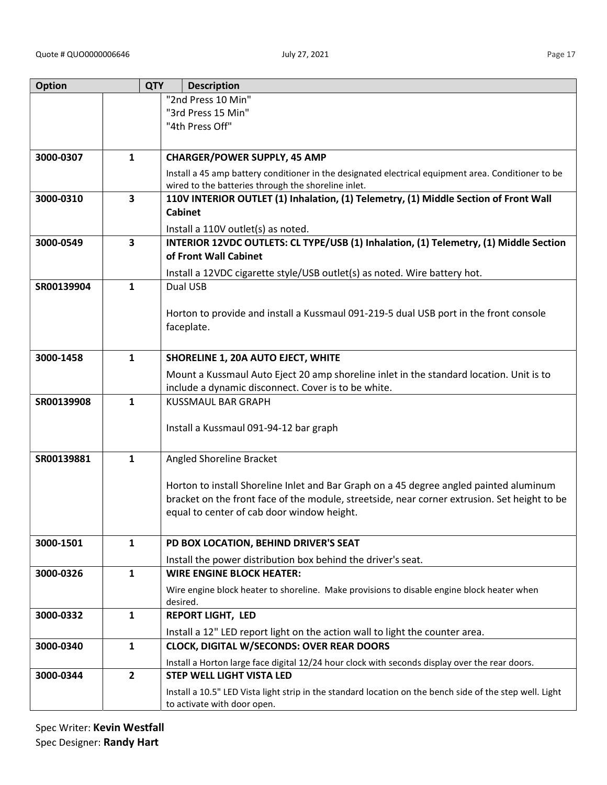|--|

| <b>Option</b> |                | <b>QTY</b> | <b>Description</b>                                                                                                                         |
|---------------|----------------|------------|--------------------------------------------------------------------------------------------------------------------------------------------|
|               |                |            | "2nd Press 10 Min"                                                                                                                         |
|               |                |            | "3rd Press 15 Min"                                                                                                                         |
|               |                |            | "4th Press Off"                                                                                                                            |
|               |                |            |                                                                                                                                            |
| 3000-0307     | $\mathbf{1}$   |            | <b>CHARGER/POWER SUPPLY, 45 AMP</b>                                                                                                        |
|               |                |            | Install a 45 amp battery conditioner in the designated electrical equipment area. Conditioner to be                                        |
|               |                |            | wired to the batteries through the shoreline inlet.                                                                                        |
| 3000-0310     | $\mathbf{3}$   |            | 110V INTERIOR OUTLET (1) Inhalation, (1) Telemetry, (1) Middle Section of Front Wall                                                       |
|               |                |            | <b>Cabinet</b>                                                                                                                             |
|               |                |            | Install a 110V outlet(s) as noted.                                                                                                         |
| 3000-0549     | 3              |            | INTERIOR 12VDC OUTLETS: CL TYPE/USB (1) Inhalation, (1) Telemetry, (1) Middle Section                                                      |
|               |                |            | of Front Wall Cabinet                                                                                                                      |
|               |                |            | Install a 12VDC cigarette style/USB outlet(s) as noted. Wire battery hot.                                                                  |
| SR00139904    | $\mathbf{1}$   |            | Dual USB                                                                                                                                   |
|               |                |            |                                                                                                                                            |
|               |                |            | Horton to provide and install a Kussmaul 091-219-5 dual USB port in the front console                                                      |
|               |                |            | faceplate.                                                                                                                                 |
|               |                |            |                                                                                                                                            |
| 3000-1458     | $\mathbf{1}$   |            | <b>SHORELINE 1, 20A AUTO EJECT, WHITE</b>                                                                                                  |
|               |                |            | Mount a Kussmaul Auto Eject 20 amp shoreline inlet in the standard location. Unit is to                                                    |
|               |                |            | include a dynamic disconnect. Cover is to be white.                                                                                        |
| SR00139908    | $\mathbf{1}$   |            | <b>KUSSMAUL BAR GRAPH</b>                                                                                                                  |
|               |                |            |                                                                                                                                            |
|               |                |            | Install a Kussmaul 091-94-12 bar graph                                                                                                     |
|               |                |            |                                                                                                                                            |
| SR00139881    | $\mathbf{1}$   |            | Angled Shoreline Bracket                                                                                                                   |
|               |                |            |                                                                                                                                            |
|               |                |            | Horton to install Shoreline Inlet and Bar Graph on a 45 degree angled painted aluminum                                                     |
|               |                |            | bracket on the front face of the module, streetside, near corner extrusion. Set height to be<br>equal to center of cab door window height. |
|               |                |            |                                                                                                                                            |
| 3000-1501     | $\mathbf{1}$   |            | PD BOX LOCATION, BEHIND DRIVER'S SEAT                                                                                                      |
|               |                |            |                                                                                                                                            |
|               |                |            | Install the power distribution box behind the driver's seat.                                                                               |
| 3000-0326     | $\mathbf{1}$   |            | <b>WIRE ENGINE BLOCK HEATER:</b>                                                                                                           |
|               |                |            | Wire engine block heater to shoreline. Make provisions to disable engine block heater when                                                 |
| 3000-0332     | $\mathbf{1}$   |            | desired.<br><b>REPORT LIGHT, LED</b>                                                                                                       |
|               |                |            |                                                                                                                                            |
|               |                |            | Install a 12" LED report light on the action wall to light the counter area.                                                               |
| 3000-0340     | $\mathbf{1}$   |            | <b>CLOCK, DIGITAL W/SECONDS: OVER REAR DOORS</b>                                                                                           |
|               |                |            | Install a Horton large face digital 12/24 hour clock with seconds display over the rear doors.                                             |
| 3000-0344     | $\overline{2}$ |            | <b>STEP WELL LIGHT VISTA LED</b>                                                                                                           |
|               |                |            | Install a 10.5" LED Vista light strip in the standard location on the bench side of the step well. Light                                   |
|               |                |            | to activate with door open.                                                                                                                |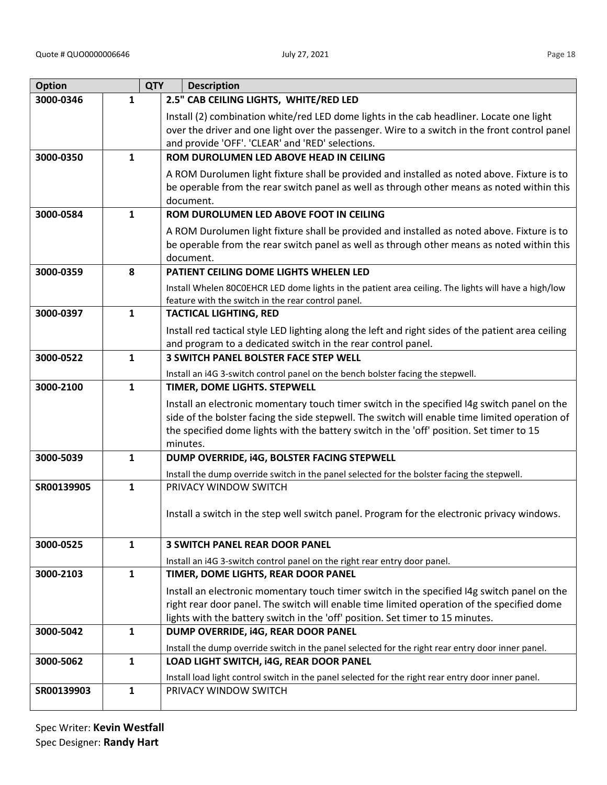| <b>Option</b> | <b>QTY</b>   | <b>Description</b>                                                                                                                                                                                                                                                                                    |
|---------------|--------------|-------------------------------------------------------------------------------------------------------------------------------------------------------------------------------------------------------------------------------------------------------------------------------------------------------|
| 3000-0346     | $\mathbf{1}$ | 2.5" CAB CEILING LIGHTS, WHITE/RED LED                                                                                                                                                                                                                                                                |
|               |              | Install (2) combination white/red LED dome lights in the cab headliner. Locate one light<br>over the driver and one light over the passenger. Wire to a switch in the front control panel<br>and provide 'OFF'. 'CLEAR' and 'RED' selections.                                                         |
| 3000-0350     | 1            | ROM DUROLUMEN LED ABOVE HEAD IN CEILING                                                                                                                                                                                                                                                               |
|               |              | A ROM Durolumen light fixture shall be provided and installed as noted above. Fixture is to<br>be operable from the rear switch panel as well as through other means as noted within this<br>document.                                                                                                |
| 3000-0584     | $\mathbf{1}$ | ROM DUROLUMEN LED ABOVE FOOT IN CEILING                                                                                                                                                                                                                                                               |
|               |              | A ROM Durolumen light fixture shall be provided and installed as noted above. Fixture is to<br>be operable from the rear switch panel as well as through other means as noted within this<br>document.                                                                                                |
| 3000-0359     | 8            | PATIENT CEILING DOME LIGHTS WHELEN LED                                                                                                                                                                                                                                                                |
|               |              | Install Whelen 80C0EHCR LED dome lights in the patient area ceiling. The lights will have a high/low<br>feature with the switch in the rear control panel.                                                                                                                                            |
| 3000-0397     | $\mathbf{1}$ | <b>TACTICAL LIGHTING, RED</b>                                                                                                                                                                                                                                                                         |
|               |              | Install red tactical style LED lighting along the left and right sides of the patient area ceiling<br>and program to a dedicated switch in the rear control panel.                                                                                                                                    |
| 3000-0522     | 1            | <b>3 SWITCH PANEL BOLSTER FACE STEP WELL</b>                                                                                                                                                                                                                                                          |
|               |              | Install an i4G 3-switch control panel on the bench bolster facing the stepwell.                                                                                                                                                                                                                       |
| 3000-2100     | $\mathbf{1}$ | TIMER, DOME LIGHTS. STEPWELL                                                                                                                                                                                                                                                                          |
|               |              | Install an electronic momentary touch timer switch in the specified I4g switch panel on the<br>side of the bolster facing the side stepwell. The switch will enable time limited operation of<br>the specified dome lights with the battery switch in the 'off' position. Set timer to 15<br>minutes. |
| 3000-5039     | 1            | DUMP OVERRIDE, i4G, BOLSTER FACING STEPWELL                                                                                                                                                                                                                                                           |
|               |              | Install the dump override switch in the panel selected for the bolster facing the stepwell.                                                                                                                                                                                                           |
| SR00139905    | $\mathbf{1}$ | PRIVACY WINDOW SWITCH                                                                                                                                                                                                                                                                                 |
|               |              | Install a switch in the step well switch panel. Program for the electronic privacy windows.                                                                                                                                                                                                           |
| 3000-0525     | $\mathbf{1}$ | <b>3 SWITCH PANEL REAR DOOR PANEL</b>                                                                                                                                                                                                                                                                 |
|               |              | Install an i4G 3-switch control panel on the right rear entry door panel.                                                                                                                                                                                                                             |
| 3000-2103     | $\mathbf{1}$ | TIMER, DOME LIGHTS, REAR DOOR PANEL                                                                                                                                                                                                                                                                   |
|               |              | Install an electronic momentary touch timer switch in the specified I4g switch panel on the                                                                                                                                                                                                           |
|               |              | right rear door panel. The switch will enable time limited operation of the specified dome                                                                                                                                                                                                            |
|               |              | lights with the battery switch in the 'off' position. Set timer to 15 minutes.                                                                                                                                                                                                                        |
| 3000-5042     | $\mathbf{1}$ | DUMP OVERRIDE, i4G, REAR DOOR PANEL                                                                                                                                                                                                                                                                   |
| 3000-5062     | 1            | Install the dump override switch in the panel selected for the right rear entry door inner panel.<br>LOAD LIGHT SWITCH, i4G, REAR DOOR PANEL                                                                                                                                                          |
|               |              |                                                                                                                                                                                                                                                                                                       |
| SR00139903    | $\mathbf{1}$ | Install load light control switch in the panel selected for the right rear entry door inner panel.<br>PRIVACY WINDOW SWITCH                                                                                                                                                                           |
|               |              |                                                                                                                                                                                                                                                                                                       |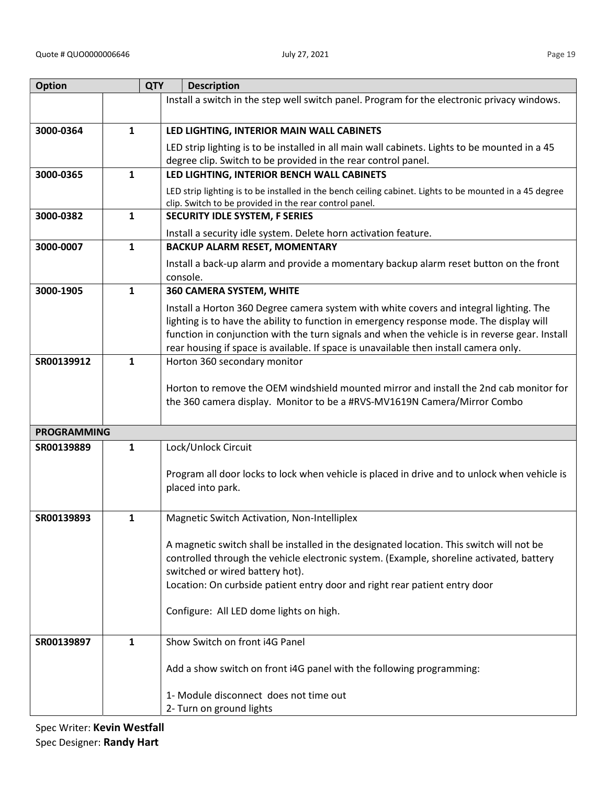| <b>Option</b>      |              | <b>QTY</b><br><b>Description</b>                                                                                                                                  |
|--------------------|--------------|-------------------------------------------------------------------------------------------------------------------------------------------------------------------|
|                    |              | Install a switch in the step well switch panel. Program for the electronic privacy windows.                                                                       |
| 3000-0364          | $\mathbf{1}$ | LED LIGHTING, INTERIOR MAIN WALL CABINETS                                                                                                                         |
|                    |              | LED strip lighting is to be installed in all main wall cabinets. Lights to be mounted in a 45                                                                     |
|                    |              | degree clip. Switch to be provided in the rear control panel.                                                                                                     |
| 3000-0365          | $\mathbf{1}$ | LED LIGHTING, INTERIOR BENCH WALL CABINETS                                                                                                                        |
|                    |              | LED strip lighting is to be installed in the bench ceiling cabinet. Lights to be mounted in a 45 degree<br>clip. Switch to be provided in the rear control panel. |
| 3000-0382          | $\mathbf{1}$ | <b>SECURITY IDLE SYSTEM, F SERIES</b>                                                                                                                             |
|                    |              | Install a security idle system. Delete horn activation feature.                                                                                                   |
| 3000-0007          | $\mathbf{1}$ | <b>BACKUP ALARM RESET, MOMENTARY</b>                                                                                                                              |
|                    |              | Install a back-up alarm and provide a momentary backup alarm reset button on the front<br>console.                                                                |
| 3000-1905          | $\mathbf{1}$ | 360 CAMERA SYSTEM, WHITE                                                                                                                                          |
|                    |              | Install a Horton 360 Degree camera system with white covers and integral lighting. The                                                                            |
|                    |              | lighting is to have the ability to function in emergency response mode. The display will                                                                          |
|                    |              | function in conjunction with the turn signals and when the vehicle is in reverse gear. Install                                                                    |
| SR00139912         | $\mathbf{1}$ | rear housing if space is available. If space is unavailable then install camera only.<br>Horton 360 secondary monitor                                             |
|                    |              |                                                                                                                                                                   |
|                    |              | Horton to remove the OEM windshield mounted mirror and install the 2nd cab monitor for                                                                            |
|                    |              | the 360 camera display. Monitor to be a #RVS-MV1619N Camera/Mirror Combo                                                                                          |
|                    |              |                                                                                                                                                                   |
| <b>PROGRAMMING</b> |              |                                                                                                                                                                   |
| SR00139889         | 1            | Lock/Unlock Circuit                                                                                                                                               |
|                    |              | Program all door locks to lock when vehicle is placed in drive and to unlock when vehicle is                                                                      |
|                    |              | placed into park.                                                                                                                                                 |
|                    |              |                                                                                                                                                                   |
| SR00139893         | 1            | Magnetic Switch Activation, Non-Intelliplex                                                                                                                       |
|                    |              | A magnetic switch shall be installed in the designated location. This switch will not be                                                                          |
|                    |              | controlled through the vehicle electronic system. (Example, shoreline activated, battery                                                                          |
|                    |              | switched or wired battery hot).                                                                                                                                   |
|                    |              | Location: On curbside patient entry door and right rear patient entry door                                                                                        |
|                    |              | Configure: All LED dome lights on high.                                                                                                                           |
|                    |              |                                                                                                                                                                   |
| SR00139897         | 1            | Show Switch on front i4G Panel                                                                                                                                    |
|                    |              |                                                                                                                                                                   |
|                    |              | Add a show switch on front i4G panel with the following programming:                                                                                              |
|                    |              |                                                                                                                                                                   |
|                    |              | 1- Module disconnect does not time out<br>2- Turn on ground lights                                                                                                |
|                    |              |                                                                                                                                                                   |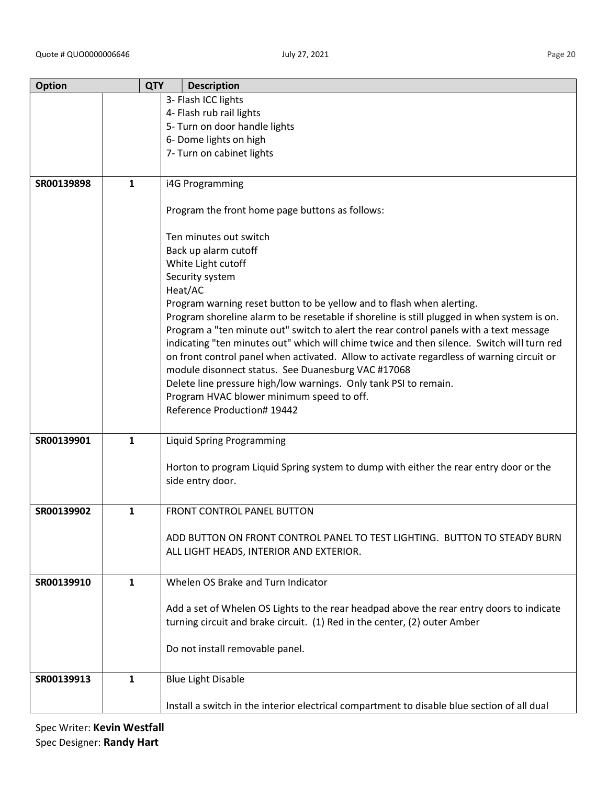| <b>Option</b> |              | <b>QTY</b> | <b>Description</b>                                                                          |
|---------------|--------------|------------|---------------------------------------------------------------------------------------------|
|               |              |            | 3- Flash ICC lights                                                                         |
|               |              |            | 4- Flash rub rail lights                                                                    |
|               |              |            | 5- Turn on door handle lights                                                               |
|               |              |            | 6- Dome lights on high                                                                      |
|               |              |            | 7- Turn on cabinet lights                                                                   |
|               |              |            |                                                                                             |
|               |              |            |                                                                                             |
| SR00139898    | 1            |            | i4G Programming                                                                             |
|               |              |            |                                                                                             |
|               |              |            | Program the front home page buttons as follows:                                             |
|               |              |            |                                                                                             |
|               |              |            | Ten minutes out switch                                                                      |
|               |              |            | Back up alarm cutoff                                                                        |
|               |              |            | White Light cutoff                                                                          |
|               |              |            | Security system                                                                             |
|               |              |            | Heat/AC                                                                                     |
|               |              |            |                                                                                             |
|               |              |            | Program warning reset button to be yellow and to flash when alerting.                       |
|               |              |            | Program shoreline alarm to be resetable if shoreline is still plugged in when system is on. |
|               |              |            | Program a "ten minute out" switch to alert the rear control panels with a text message      |
|               |              |            | indicating "ten minutes out" which will chime twice and then silence. Switch will turn red  |
|               |              |            | on front control panel when activated. Allow to activate regardless of warning circuit or   |
|               |              |            | module disonnect status. See Duanesburg VAC #17068                                          |
|               |              |            | Delete line pressure high/low warnings. Only tank PSI to remain.                            |
|               |              |            | Program HVAC blower minimum speed to off.                                                   |
|               |              |            | Reference Production# 19442                                                                 |
|               |              |            |                                                                                             |
| SR00139901    | $\mathbf{1}$ |            | <b>Liquid Spring Programming</b>                                                            |
|               |              |            |                                                                                             |
|               |              |            | Horton to program Liquid Spring system to dump with either the rear entry door or the       |
|               |              |            |                                                                                             |
|               |              |            | side entry door.                                                                            |
|               |              |            |                                                                                             |
| SR00139902    | $\mathbf{1}$ |            | <b>FRONT CONTROL PANEL BUTTON</b>                                                           |
|               |              |            |                                                                                             |
|               |              |            | ADD BUTTON ON FRONT CONTROL PANEL TO TEST LIGHTING. BUTTON TO STEADY BURN                   |
|               |              |            | ALL LIGHT HEADS, INTERIOR AND EXTERIOR.                                                     |
|               |              |            |                                                                                             |
|               |              |            |                                                                                             |
| SR00139910    | 1            |            | Whelen OS Brake and Turn Indicator                                                          |
|               |              |            |                                                                                             |
|               |              |            | Add a set of Whelen OS Lights to the rear headpad above the rear entry doors to indicate    |
|               |              |            | turning circuit and brake circuit. (1) Red in the center, (2) outer Amber                   |
|               |              |            |                                                                                             |
|               |              |            | Do not install removable panel.                                                             |
|               |              |            |                                                                                             |
| SR00139913    | 1            |            | <b>Blue Light Disable</b>                                                                   |
|               |              |            |                                                                                             |
|               |              |            |                                                                                             |
|               |              |            | Install a switch in the interior electrical compartment to disable blue section of all dual |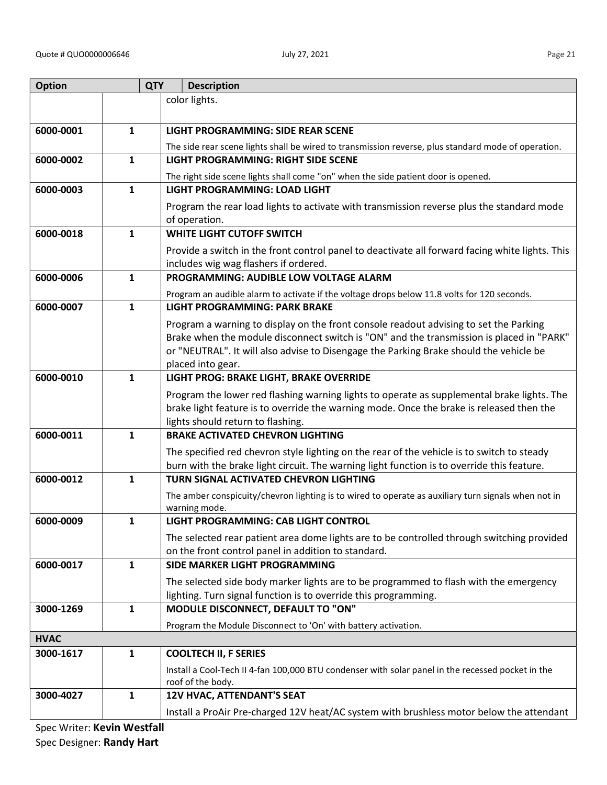| <b>Option</b>               |              | <b>QTY</b> | <b>Description</b>                                                                                                        |  |  |
|-----------------------------|--------------|------------|---------------------------------------------------------------------------------------------------------------------------|--|--|
|                             |              |            | color lights.                                                                                                             |  |  |
|                             |              |            |                                                                                                                           |  |  |
| 6000-0001                   | $\mathbf{1}$ |            | LIGHT PROGRAMMING: SIDE REAR SCENE                                                                                        |  |  |
|                             | $\mathbf{1}$ |            | The side rear scene lights shall be wired to transmission reverse, plus standard mode of operation.                       |  |  |
| 6000-0002                   |              |            | LIGHT PROGRAMMING: RIGHT SIDE SCENE                                                                                       |  |  |
| 6000-0003                   | $\mathbf{1}$ |            | The right side scene lights shall come "on" when the side patient door is opened.<br><b>LIGHT PROGRAMMING: LOAD LIGHT</b> |  |  |
|                             |              |            |                                                                                                                           |  |  |
|                             |              |            | Program the rear load lights to activate with transmission reverse plus the standard mode<br>of operation.                |  |  |
| 6000-0018                   | $\mathbf{1}$ |            | <b>WHITE LIGHT CUTOFF SWITCH</b>                                                                                          |  |  |
|                             |              |            | Provide a switch in the front control panel to deactivate all forward facing white lights. This                           |  |  |
|                             |              |            | includes wig wag flashers if ordered.                                                                                     |  |  |
| 6000-0006                   | $\mathbf{1}$ |            | PROGRAMMING: AUDIBLE LOW VOLTAGE ALARM                                                                                    |  |  |
|                             |              |            | Program an audible alarm to activate if the voltage drops below 11.8 volts for 120 seconds.                               |  |  |
| 6000-0007                   | $\mathbf{1}$ |            | <b>LIGHT PROGRAMMING: PARK BRAKE</b>                                                                                      |  |  |
|                             |              |            | Program a warning to display on the front console readout advising to set the Parking                                     |  |  |
|                             |              |            | Brake when the module disconnect switch is "ON" and the transmission is placed in "PARK"                                  |  |  |
|                             |              |            | or "NEUTRAL". It will also advise to Disengage the Parking Brake should the vehicle be<br>placed into gear.               |  |  |
| 6000-0010                   | 1            |            | LIGHT PROG: BRAKE LIGHT, BRAKE OVERRIDE                                                                                   |  |  |
|                             |              |            | Program the lower red flashing warning lights to operate as supplemental brake lights. The                                |  |  |
|                             |              |            | brake light feature is to override the warning mode. Once the brake is released then the                                  |  |  |
|                             |              |            | lights should return to flashing.                                                                                         |  |  |
| 6000-0011                   | $\mathbf{1}$ |            | <b>BRAKE ACTIVATED CHEVRON LIGHTING</b>                                                                                   |  |  |
|                             |              |            | The specified red chevron style lighting on the rear of the vehicle is to switch to steady                                |  |  |
|                             |              |            | burn with the brake light circuit. The warning light function is to override this feature.                                |  |  |
| 6000-0012                   | $\mathbf{1}$ |            | TURN SIGNAL ACTIVATED CHEVRON LIGHTING                                                                                    |  |  |
|                             |              |            | The amber conspicuity/chevron lighting is to wired to operate as auxiliary turn signals when not in<br>warning mode.      |  |  |
| 6000-0009                   | 1            |            | LIGHT PROGRAMMING: CAB LIGHT CONTROL                                                                                      |  |  |
|                             |              |            | The selected rear patient area dome lights are to be controlled through switching provided                                |  |  |
|                             |              |            | on the front control panel in addition to standard.                                                                       |  |  |
| 6000-0017                   | $\mathbf{1}$ |            | SIDE MARKER LIGHT PROGRAMMING                                                                                             |  |  |
|                             |              |            | The selected side body marker lights are to be programmed to flash with the emergency                                     |  |  |
|                             |              |            | lighting. Turn signal function is to override this programming.                                                           |  |  |
| 3000-1269                   | $\mathbf{1}$ |            | MODULE DISCONNECT, DEFAULT TO "ON"                                                                                        |  |  |
|                             |              |            | Program the Module Disconnect to 'On' with battery activation.                                                            |  |  |
| <b>HVAC</b>                 |              |            |                                                                                                                           |  |  |
| 3000-1617                   | 1            |            | <b>COOLTECH II, F SERIES</b>                                                                                              |  |  |
|                             |              |            | Install a Cool-Tech II 4-fan 100,000 BTU condenser with solar panel in the recessed pocket in the<br>roof of the body.    |  |  |
| 3000-4027                   | $\mathbf{1}$ |            | 12V HVAC, ATTENDANT'S SEAT                                                                                                |  |  |
|                             |              |            | Install a ProAir Pre-charged 12V heat/AC system with brushless motor below the attendant                                  |  |  |
| Spec Writer: Kevin Westfall |              |            |                                                                                                                           |  |  |

Spec Designer: Randy Hart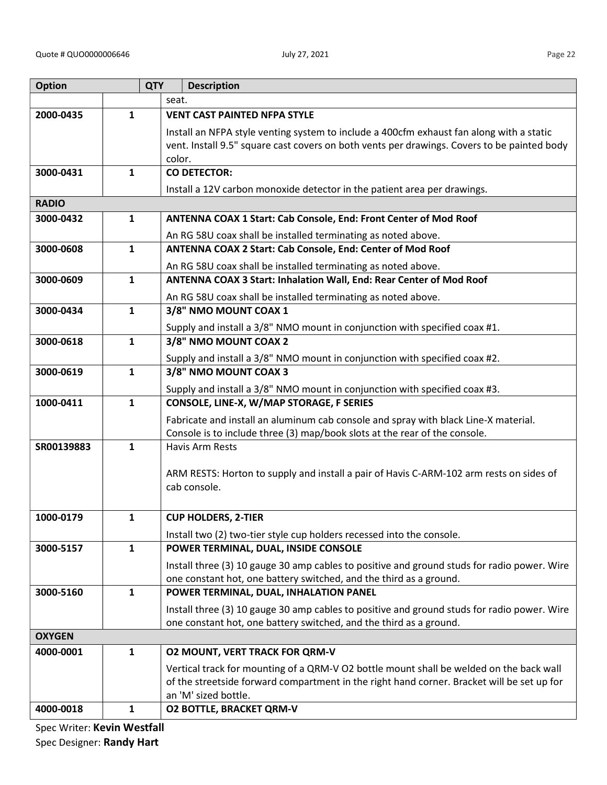| <b>Option</b> |              | <b>QTY</b> | <b>Description</b>                                                                          |
|---------------|--------------|------------|---------------------------------------------------------------------------------------------|
|               |              |            | seat.                                                                                       |
| 2000-0435     | $\mathbf{1}$ |            | <b>VENT CAST PAINTED NFPA STYLE</b>                                                         |
|               |              |            | Install an NFPA style venting system to include a 400cfm exhaust fan along with a static    |
|               |              |            | vent. Install 9.5" square cast covers on both vents per drawings. Covers to be painted body |
|               |              |            | color.                                                                                      |
| 3000-0431     | $\mathbf{1}$ |            | <b>CO DETECTOR:</b>                                                                         |
|               |              |            | Install a 12V carbon monoxide detector in the patient area per drawings.                    |
| <b>RADIO</b>  |              |            |                                                                                             |
| 3000-0432     | $\mathbf{1}$ |            | ANTENNA COAX 1 Start: Cab Console, End: Front Center of Mod Roof                            |
|               |              |            | An RG 58U coax shall be installed terminating as noted above.                               |
| 3000-0608     | $\mathbf{1}$ |            | ANTENNA COAX 2 Start: Cab Console, End: Center of Mod Roof                                  |
|               |              |            | An RG 58U coax shall be installed terminating as noted above.                               |
| 3000-0609     | $\mathbf{1}$ |            | ANTENNA COAX 3 Start: Inhalation Wall, End: Rear Center of Mod Roof                         |
|               |              |            | An RG 58U coax shall be installed terminating as noted above.                               |
| 3000-0434     | $\mathbf{1}$ |            | 3/8" NMO MOUNT COAX 1                                                                       |
|               |              |            | Supply and install a 3/8" NMO mount in conjunction with specified coax #1.                  |
| 3000-0618     | $\mathbf{1}$ |            | 3/8" NMO MOUNT COAX 2                                                                       |
|               |              |            | Supply and install a 3/8" NMO mount in conjunction with specified coax #2.                  |
| 3000-0619     | $\mathbf{1}$ |            | 3/8" NMO MOUNT COAX 3                                                                       |
|               |              |            | Supply and install a 3/8" NMO mount in conjunction with specified coax #3.                  |
| 1000-0411     | $\mathbf{1}$ |            | CONSOLE, LINE-X, W/MAP STORAGE, F SERIES                                                    |
|               |              |            | Fabricate and install an aluminum cab console and spray with black Line-X material.         |
|               |              |            | Console is to include three (3) map/book slots at the rear of the console.                  |
| SR00139883    | $\mathbf{1}$ |            | <b>Havis Arm Rests</b>                                                                      |
|               |              |            |                                                                                             |
|               |              |            | ARM RESTS: Horton to supply and install a pair of Havis C-ARM-102 arm rests on sides of     |
|               |              |            | cab console.                                                                                |
|               |              |            |                                                                                             |
| 1000-0179     | 1            |            | <b>CUP HOLDERS, 2-TIER</b>                                                                  |
|               |              |            | Install two (2) two-tier style cup holders recessed into the console.                       |
| 3000-5157     | $\mathbf 1$  |            | POWER TERMINAL, DUAL, INSIDE CONSOLE                                                        |
|               |              |            | Install three (3) 10 gauge 30 amp cables to positive and ground studs for radio power. Wire |
|               |              |            | one constant hot, one battery switched, and the third as a ground.                          |
| 3000-5160     | $\mathbf{1}$ |            | POWER TERMINAL, DUAL, INHALATION PANEL                                                      |
|               |              |            | Install three (3) 10 gauge 30 amp cables to positive and ground studs for radio power. Wire |
|               |              |            | one constant hot, one battery switched, and the third as a ground.                          |
| <b>OXYGEN</b> |              |            |                                                                                             |
| 4000-0001     | 1            |            | <b>02 MOUNT, VERT TRACK FOR QRM-V</b>                                                       |
|               |              |            | Vertical track for mounting of a QRM-V O2 bottle mount shall be welded on the back wall     |
|               |              |            | of the streetside forward compartment in the right hand corner. Bracket will be set up for  |
|               |              |            | an 'M' sized bottle.                                                                        |
| 4000-0018     | $\mathbf{1}$ |            | <b>O2 BOTTLE, BRACKET QRM-V</b>                                                             |